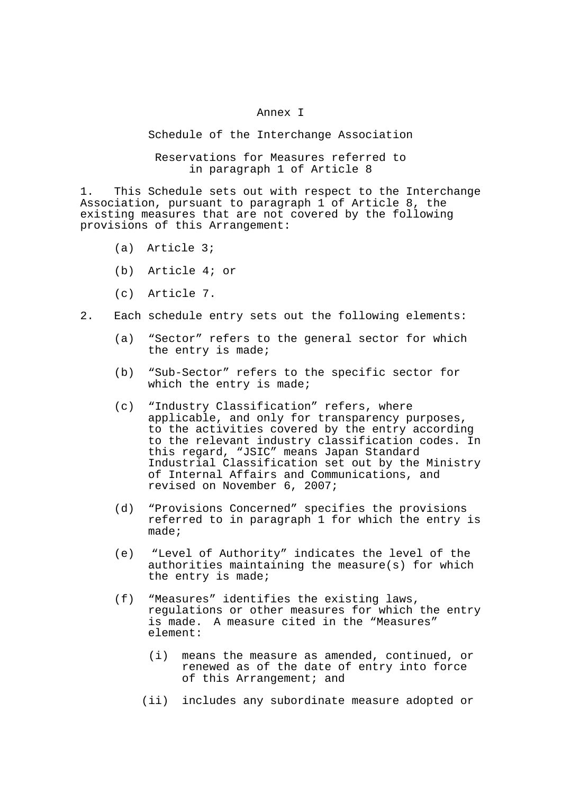## Annex I

Schedule of the Interchange Association

Reservations for Measures referred to in paragraph 1 of Article 8

1. This Schedule sets out with respect to the Interchange Association, pursuant to paragraph 1 of Article 8, the existing measures that are not covered by the following provisions of this Arrangement:

- (a) Article 3;
- (b) Article 4; or
- (c) Article 7.
- 2. Each schedule entry sets out the following elements:
	- (a) "Sector" refers to the general sector for which the entry is made;
	- (b) "Sub-Sector" refers to the specific sector for which the entry is made;
	- (c) "Industry Classification" refers, where applicable, and only for transparency purposes, to the activities covered by the entry according to the relevant industry classification codes. In this regard, "JSIC" means Japan Standard Industrial Classification set out by the Ministry of Internal Affairs and Communications, and revised on November 6, 2007;
	- (d) "Provisions Concerned" specifies the provisions referred to in paragraph 1 for which the entry is made;
	- (e) "Level of Authority" indicates the level of the authorities maintaining the measure(s) for which the entry is made;
	- (f) "Measures" identifies the existing laws, regulations or other measures for which the entry is made. A measure cited in the "Measures" element:
		- (i) means the measure as amended, continued, or renewed as of the date of entry into force of this Arrangement; and
		- (ii) includes any subordinate measure adopted or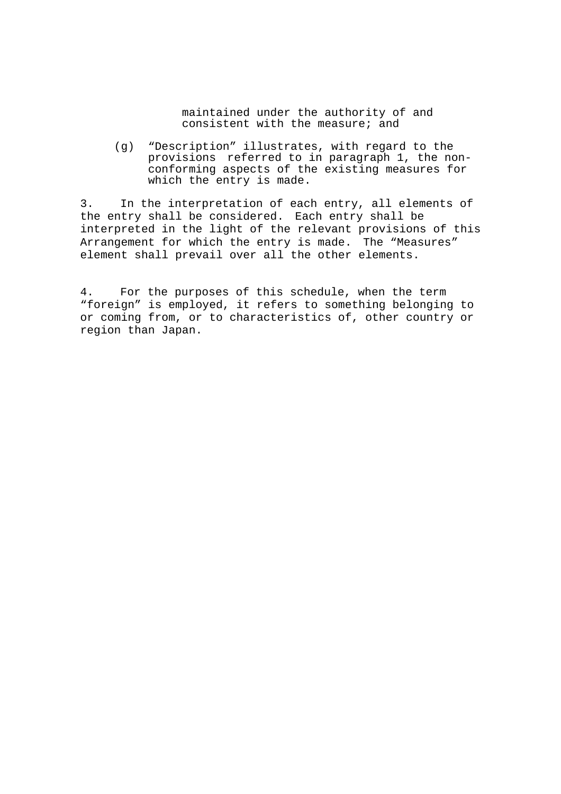maintained under the authority of and consistent with the measure; and

 (g) "Description" illustrates, with regard to the provisions referred to in paragraph 1, the nonconforming aspects of the existing measures for which the entry is made.

3. In the interpretation of each entry, all elements of the entry shall be considered. Each entry shall be interpreted in the light of the relevant provisions of this Arrangement for which the entry is made. The "Measures" element shall prevail over all the other elements.

4. For the purposes of this schedule, when the term "foreign" is employed, it refers to something belonging to or coming from, or to characteristics of, other country or region than Japan.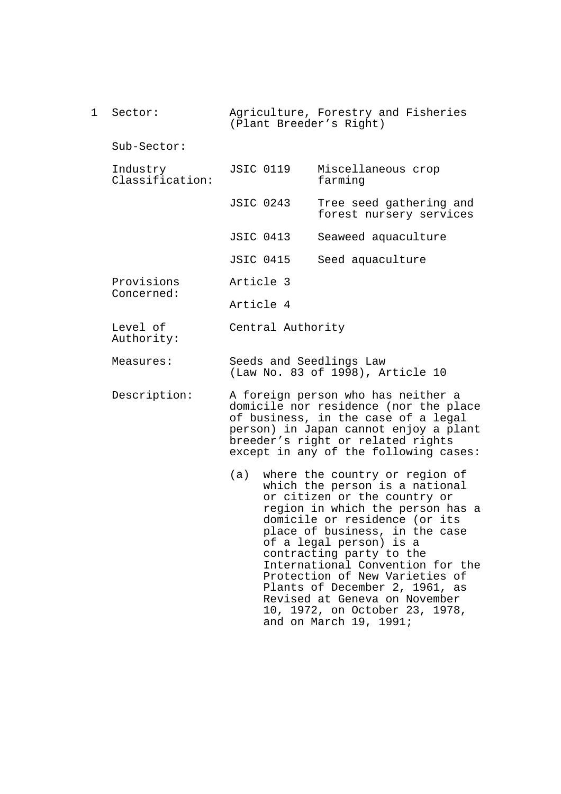1 Sector: Sub-Sector: Industry Classification: Provisions Concerned: Level of Authority: Measures: Description: Agriculture, Forestry and Fisheries (Plant Breeder's Right) JSIC 0119 Miscellaneous crop farming JSIC 0243 Tree seed gathering and forest nursery services JSIC 0413 Seaweed aquaculture JSIC 0415 Seed aquaculture Article 3 Article 4 Central Authority Seeds and Seedlings Law (Law No. 83 of 1998), Article 10 A foreign person who has neither a domicile nor residence (nor the place of business, in the case of a legal person) in Japan cannot enjoy a plant breeder's right or related rights except in any of the following cases: (a) where the country or region of which the person is a national or citizen or the country or region in which the person has a domicile or residence (or its place of business, in the case of a legal person) is a contracting party to the International Convention for the Protection of New Varieties of Plants of December 2, 1961, as Revised at Geneva on November

10, 1972, on October 23, 1978,

and on March 19, 1991;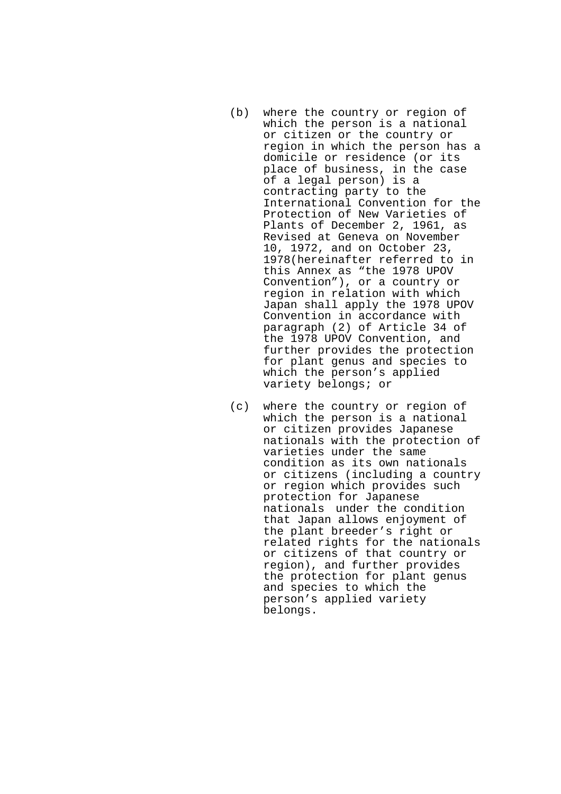- (b) where the country or region of which the person is a national or citizen or the country or region in which the person has a domicile or residence (or its place of business, in the case of a legal person) is a contracting party to the International Convention for the Protection of New Varieties of Plants of December 2, 1961, as Revised at Geneva on November 10, 1972, and on October 23, 1978(hereinafter referred to in this Annex as "the 1978 UPOV Convention"), or a country or region in relation with which Japan shall apply the 1978 UPOV Convention in accordance with paragraph (2) of Article 34 of the 1978 UPOV Convention, and further provides the protection for plant genus and species to which the person's applied variety belongs; or
- (c) where the country or region of which the person is a national or citizen provides Japanese nationals with the protection of varieties under the same condition as its own nationals or citizens (including a country or region which provides such protection for Japanese nationals under the condition that Japan allows enjoyment of the plant breeder's right or related rights for the nationals or citizens of that country or region), and further provides the protection for plant genus and species to which the person's applied variety belongs.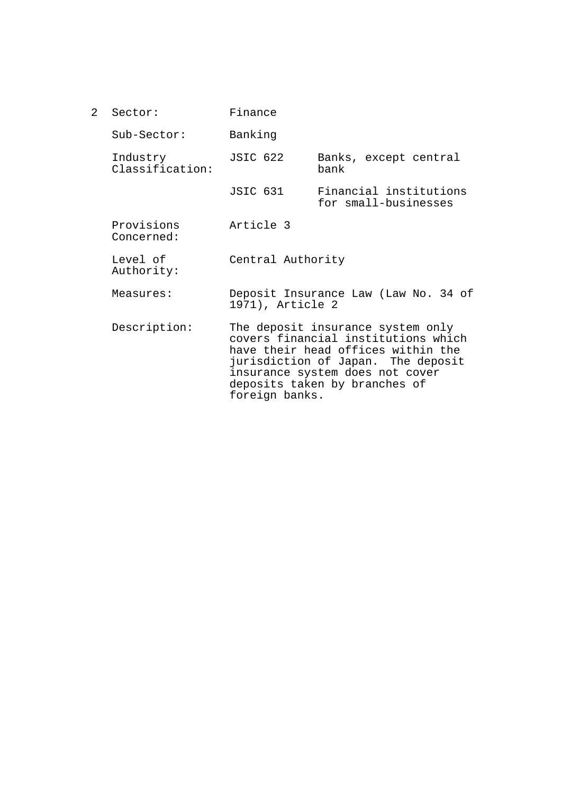| $\mathcal{L}$ | Sector:                     | Finance                                                                                                                                                                                                                                                                                                   |                                                |  |
|---------------|-----------------------------|-----------------------------------------------------------------------------------------------------------------------------------------------------------------------------------------------------------------------------------------------------------------------------------------------------------|------------------------------------------------|--|
|               | Sub-Sector:                 | Banking                                                                                                                                                                                                                                                                                                   |                                                |  |
|               | Industry<br>Classification: | <b>JSIC 622</b>                                                                                                                                                                                                                                                                                           | Banks, except central<br>bank                  |  |
|               |                             | JSIC 631                                                                                                                                                                                                                                                                                                  | Financial institutions<br>for small-businesses |  |
|               | Provisions<br>Concerned:    | Article 3                                                                                                                                                                                                                                                                                                 |                                                |  |
|               | Level of<br>Authority:      | Central Authority<br>Deposit Insurance Law (Law No. 34 of<br>1971), Article 2<br>The deposit insurance system only<br>covers financial institutions which<br>have their head offices within the<br>jurisdiction of Japan. The deposit<br>insurance system does not cover<br>deposits taken by branches of |                                                |  |
|               | Measures:                   |                                                                                                                                                                                                                                                                                                           |                                                |  |
|               | Description:                |                                                                                                                                                                                                                                                                                                           |                                                |  |

foreign banks.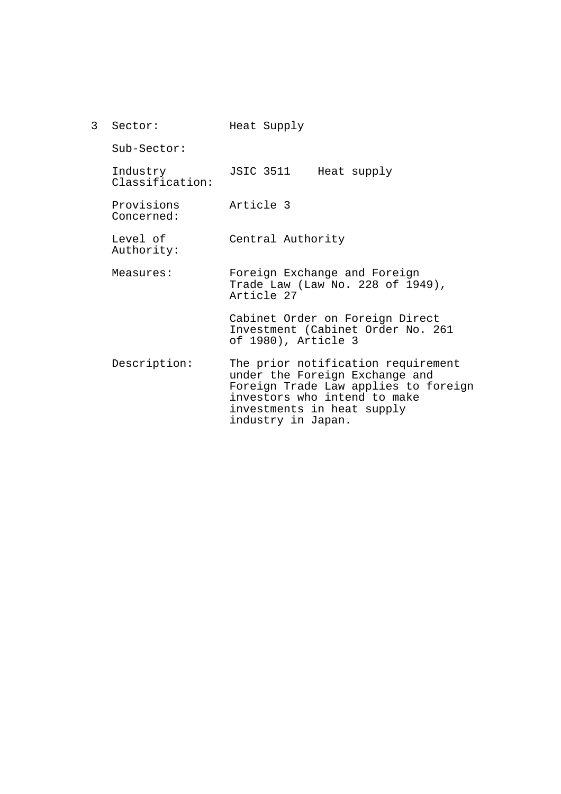| $\mathbf{3}$ | Sector:                     | Heat Supply                                                                                                                                                                                      |  |  |  |  |
|--------------|-----------------------------|--------------------------------------------------------------------------------------------------------------------------------------------------------------------------------------------------|--|--|--|--|
|              | $Sub-Section:$              |                                                                                                                                                                                                  |  |  |  |  |
|              | Industry<br>Classification: | JSIC 3511<br>Heat supply                                                                                                                                                                         |  |  |  |  |
|              | Provisions<br>Concerned:    | Article 3                                                                                                                                                                                        |  |  |  |  |
|              | Level of<br>Authority:      | Central Authority                                                                                                                                                                                |  |  |  |  |
|              | Measures:                   | Foreign Exchange and Foreign<br>Trade Law (Law No. 228 of 1949),<br>Article 27                                                                                                                   |  |  |  |  |
|              |                             | Cabinet Order on Foreign Direct<br>Investment (Cabinet Order No. 261<br>of 1980), Article 3                                                                                                      |  |  |  |  |
|              | Description:                | The prior notification requirement<br>under the Foreign Exchange and<br>Foreign Trade Law applies to foreign<br>investors who intend to make<br>investments in heat supply<br>industry in Japan. |  |  |  |  |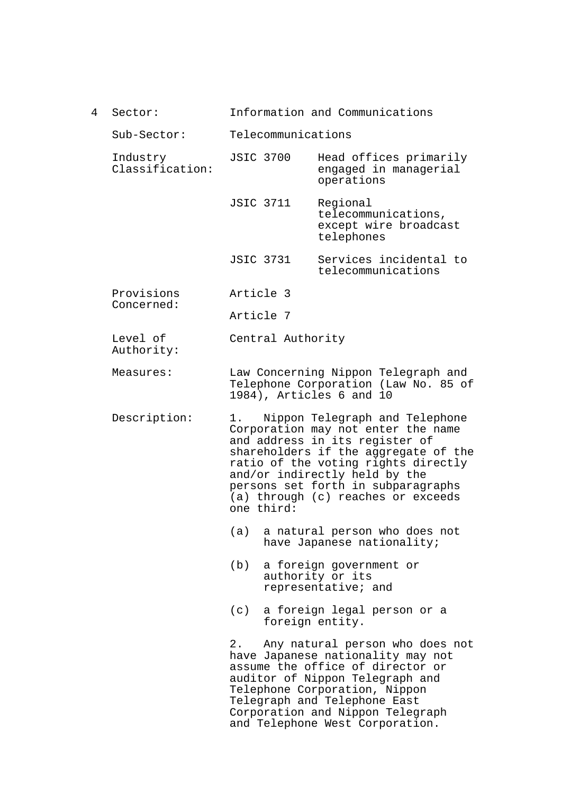4 Sector: Information and Communications

Sub-Sector: Telecommunications

- Industry Classification: JSIC 3700 Head offices primarily engaged in managerial operations
	- JSIC 3711 Regional telecommunications, except wire broadcast telephones
	- JSIC 3731 Services incidental to telecommunications
- Provisions Concerned: Article 3

Article 7

Level of Authority: Central Authority

- Measures: Law Concerning Nippon Telegraph and Telephone Corporation (Law No. 85 of 1984), Articles 6 and 10
- Description: 1. Nippon Telegraph and Telephone Corporation may not enter the name and address in its register of shareholders if the aggregate of the ratio of the voting rights directly and/or indirectly held by the persons set forth in subparagraphs (a) through (c) reaches or exceeds one third:
	- (a) a natural person who does not have Japanese nationality;
	- (b) a foreign government or authority or its representative; and
	- (c) a foreign legal person or a foreign entity.

2. Any natural person who does not have Japanese nationality may not assume the office of director or auditor of Nippon Telegraph and Telephone Corporation, Nippon Telegraph and Telephone East Corporation and Nippon Telegraph and Telephone West Corporation.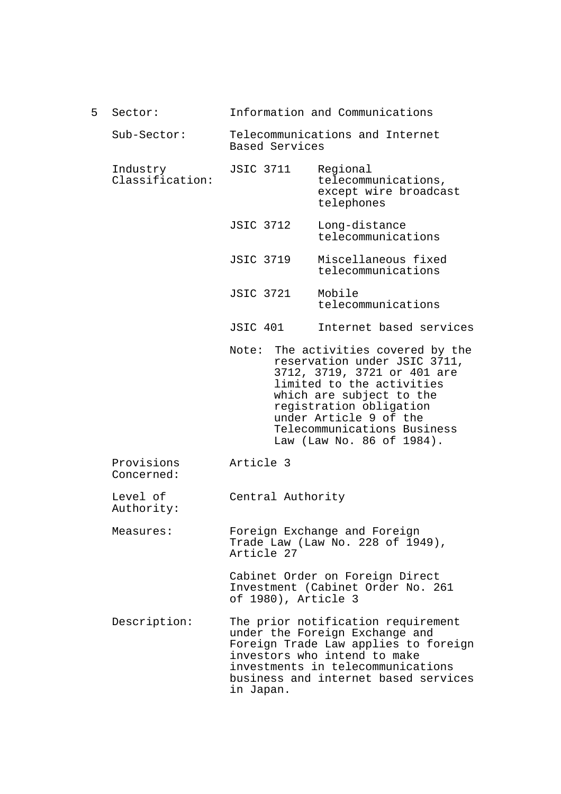| 5.                        | Sector:                     | Information and Communications                                                                                                                                                                                                                                                  |                                                                        |  |  |
|---------------------------|-----------------------------|---------------------------------------------------------------------------------------------------------------------------------------------------------------------------------------------------------------------------------------------------------------------------------|------------------------------------------------------------------------|--|--|
|                           | Sub-Sector:                 | Telecommunications and Internet<br>Based Services                                                                                                                                                                                                                               |                                                                        |  |  |
|                           | Industry<br>Classification: | <b>JSIC 3711</b>                                                                                                                                                                                                                                                                | Regional<br>telecommunications,<br>except wire broadcast<br>telephones |  |  |
|                           |                             | <b>JSIC 3712</b>                                                                                                                                                                                                                                                                | Long-distance<br>telecommunications                                    |  |  |
|                           |                             | <b>JSIC 3719</b>                                                                                                                                                                                                                                                                | Miscellaneous fixed<br>telecommunications                              |  |  |
|                           |                             | <b>JSIC 3721</b>                                                                                                                                                                                                                                                                | Mobile<br>telecommunications                                           |  |  |
|                           |                             | JSIC 401                                                                                                                                                                                                                                                                        | Internet based services                                                |  |  |
|                           |                             | The activities covered by the<br>Note:<br>reservation under JSIC 3711,<br>3712, 3719, 3721 or 401 are<br>limited to the activities<br>which are subject to the<br>registration obligation<br>under Article 9 of the<br>Telecommunications Business<br>Law (Law No. 86 of 1984). |                                                                        |  |  |
|                           | Provisions<br>Concerned:    | Article 3                                                                                                                                                                                                                                                                       |                                                                        |  |  |
|                           | Level of<br>Authority:      | Central Authority                                                                                                                                                                                                                                                               |                                                                        |  |  |
|                           | Measures:                   | Article 27                                                                                                                                                                                                                                                                      | Foreign Exchange and Foreign<br>Trade Law (Law No. 228 of 1949),       |  |  |
|                           |                             | Cabinet Order on Foreign Direct<br>Investment (Cabinet Order No. 261<br>of 1980), Article 3                                                                                                                                                                                     |                                                                        |  |  |
| Description:<br>in Japan. |                             | The prior notification requirement<br>under the Foreign Exchange and<br>Foreign Trade Law applies to foreign<br>investors who intend to make<br>investments in telecommunications<br>business and internet based services                                                       |                                                                        |  |  |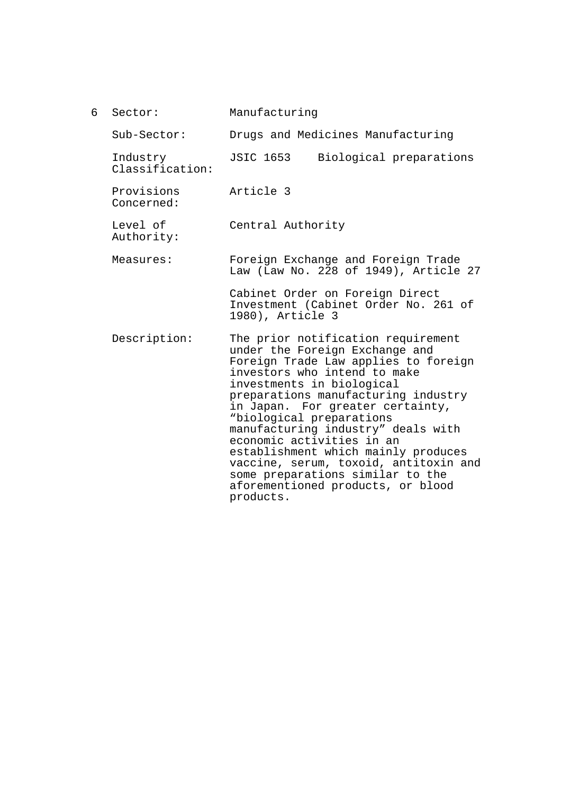| 6 | Sector:                     | Manufacturing                                                                                                                                                                                                                                                                                                                                                                                                                                                                                                             |  |  |  |
|---|-----------------------------|---------------------------------------------------------------------------------------------------------------------------------------------------------------------------------------------------------------------------------------------------------------------------------------------------------------------------------------------------------------------------------------------------------------------------------------------------------------------------------------------------------------------------|--|--|--|
|   | $Sub-Section:$              | Drugs and Medicines Manufacturing                                                                                                                                                                                                                                                                                                                                                                                                                                                                                         |  |  |  |
|   | Industry<br>Classification: | JSIC 1653<br>Biological preparations                                                                                                                                                                                                                                                                                                                                                                                                                                                                                      |  |  |  |
|   | Provisions<br>Concerned:    | Article 3                                                                                                                                                                                                                                                                                                                                                                                                                                                                                                                 |  |  |  |
|   | Level of<br>Authority:      | Central Authority                                                                                                                                                                                                                                                                                                                                                                                                                                                                                                         |  |  |  |
|   | Measures:                   | Foreign Exchange and Foreign Trade<br>Law (Law No. 228 of 1949), Article 27                                                                                                                                                                                                                                                                                                                                                                                                                                               |  |  |  |
|   |                             | Cabinet Order on Foreign Direct<br>Investment (Cabinet Order No. 261 of<br>1980), Article 3                                                                                                                                                                                                                                                                                                                                                                                                                               |  |  |  |
|   | Description:                | The prior notification requirement<br>under the Foreign Exchange and<br>Foreign Trade Law applies to foreign<br>investors who intend to make<br>investments in biological<br>preparations manufacturing industry<br>in Japan. For greater certainty,<br>"biological preparations<br>manufacturing industry" deals with<br>economic activities in an<br>establishment which mainly produces<br>vaccine, serum, toxoid, antitoxin and<br>some preparations similar to the<br>aforementioned products, or blood<br>products. |  |  |  |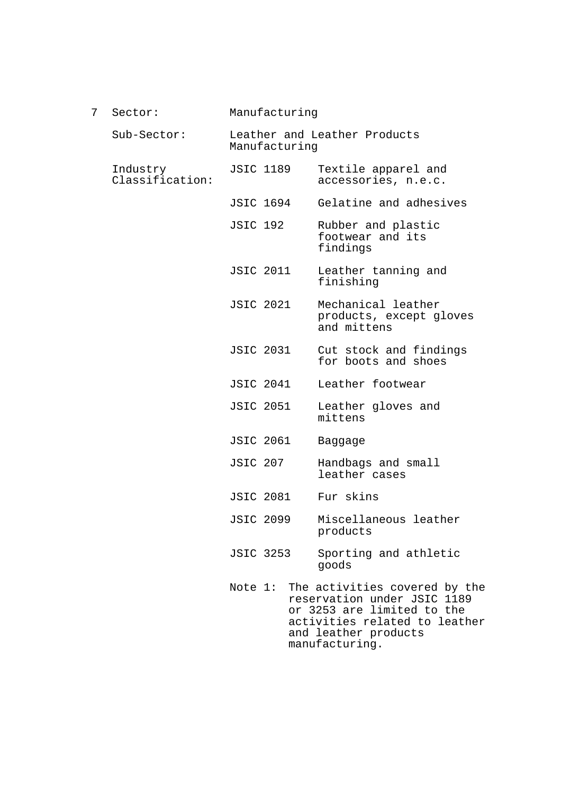| 7 | Sector:                     | Manufacturing                                 |  |  |                                                                      |
|---|-----------------------------|-----------------------------------------------|--|--|----------------------------------------------------------------------|
|   | Sub-Sector:                 | Leather and Leather Products<br>Manufacturing |  |  |                                                                      |
|   | Industry<br>Classification: | <b>JSIC 1189</b>                              |  |  | Textile apparel and<br>accessories, n.e.c.                           |
|   |                             | JSIC 1694                                     |  |  | Gelatine and adhesives                                               |
|   |                             | <b>JSIC 192</b>                               |  |  | Rubber and plastic<br>footwear and its<br>findings                   |
|   |                             | <b>JSIC 2011</b>                              |  |  | Leather tanning and<br>finishing                                     |
|   |                             | <b>JSIC 2021</b>                              |  |  | Mechanical leather<br>products, except gloves<br>and mittens         |
|   |                             | <b>JSIC 2031</b>                              |  |  | Cut stock and findings<br>for boots and shoes                        |
|   |                             | <b>JSIC 2041</b>                              |  |  | Leather footwear                                                     |
|   |                             | <b>JSIC 2051</b>                              |  |  | Leather gloves and<br>mittens                                        |
|   |                             | <b>JSIC 2061</b>                              |  |  | Baggage                                                              |
|   |                             | <b>JSIC 207</b>                               |  |  | Handbags and small<br>leather cases                                  |
|   |                             | <b>JSIC 2081</b>                              |  |  | Fur skins                                                            |
|   |                             | <b>JSIC 2099</b>                              |  |  | Miscellaneous leather<br>products                                    |
|   |                             | <b>JSIC 3253</b>                              |  |  | Sporting and athletic<br>goods                                       |
|   |                             |                                               |  |  | Note 1: The activities covered by the<br>reservation under JSIC 1189 |

reservation under JSIC 1189 or 3253 are limited to the activities related to leather and leather products manufacturing.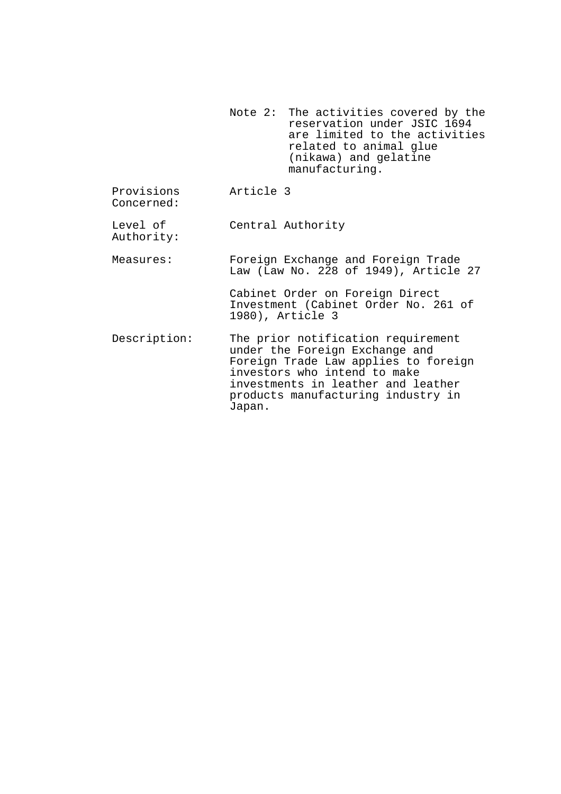Note 2: The activities covered by the reservation under JSIC 1694 are limited to the activities related to animal glue (nikawa) and gelatine manufacturing.

Provisions Concerned: Article 3

Level of Authority: Central Authority

Measures: Foreign Exchange and Foreign Trade Law (Law No. 228 of 1949), Article 27

> Cabinet Order on Foreign Direct Investment (Cabinet Order No. 261 of 1980), Article 3

Description: The prior notification requirement under the Foreign Exchange and Foreign Trade Law applies to foreign investors who intend to make investments in leather and leather products manufacturing industry in Japan.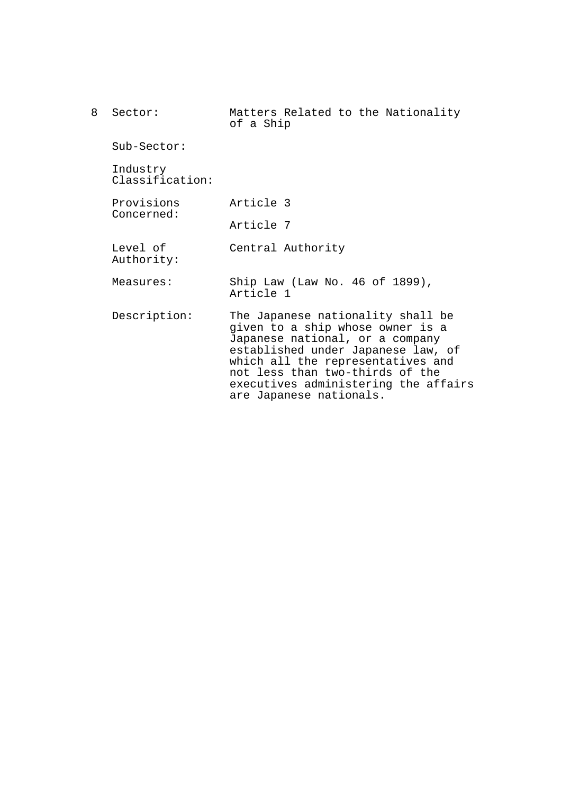8 Sector: Sub-Sector: Industry Classification: Provisions Concerned: Level of Authority: Measures: Description: Matters Related to the Nationality of a Ship Article 3 Article 7 Central Authority Ship Law (Law No. 46 of 1899), Article 1 The Japanese nationality shall be given to a ship whose owner is a Japanese national, or a company established under Japanese law, of which all the representatives and not less than two-thirds of the executives administering the affairs are Japanese nationals.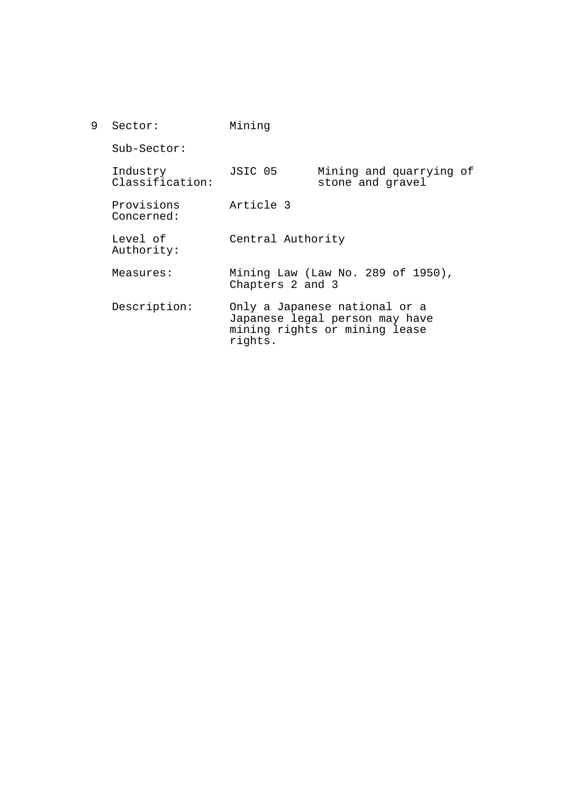| 9 | Sector:                     | Mining                                                                                                      |                                             |  |
|---|-----------------------------|-------------------------------------------------------------------------------------------------------------|---------------------------------------------|--|
|   | Sub-Sector:                 |                                                                                                             |                                             |  |
|   | Industry<br>Classification: | JSIC 05                                                                                                     | Mining and quarrying of<br>stone and gravel |  |
|   | Provisions<br>Concerned:    | Article 3                                                                                                   |                                             |  |
|   | Level of<br>Authority:      | Central Authority                                                                                           |                                             |  |
|   | Measures:                   | Mining Law (Law No. 289 of 1950),<br>Chapters 2 and 3                                                       |                                             |  |
|   | Description:                | Only a Japanese national or a<br>Japanese legal person may have<br>mining rights or mining lease<br>rights. |                                             |  |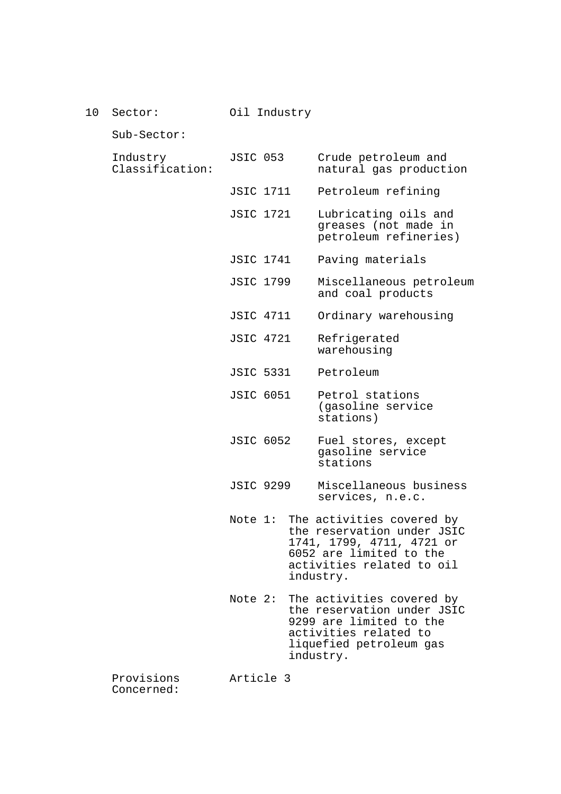10 Sector:

Oil Industry

Sub-Sector:

| Industry        |  |
|-----------------|--|
| Classification: |  |

- SIC 053 Crude petroleum and natural gas production
- JSIC 1711 Petroleum refining
- JSIC 1721 Lubricating oils and greases (not made in petroleum refineries)
- JSIC 1741 Paving materials
- JSIC 1799 Miscellaneous petroleum and coal products
- JSIC 4711 Ordinary warehousing
- JSIC 4721 Refrigerated warehousing
- JSIC 5331 Petroleum
- JSIC 6051 Petrol stations (gasoline service stations)
- JSIC 6052 Fuel stores, except gasoline service stations
- JSIC 9299 Miscellaneous business services, n.e.c.
- Note 1: The activities covered by the reservation under JSIC 1741, 1799, 4711, 4721 or 6052 are limited to the activities related to oil industry.
- Note 2: The activities covered by the reservation under JSIC 9299 are limited to the activities related to liquefied petroleum gas industry.

Provisions Concerned:

Article 3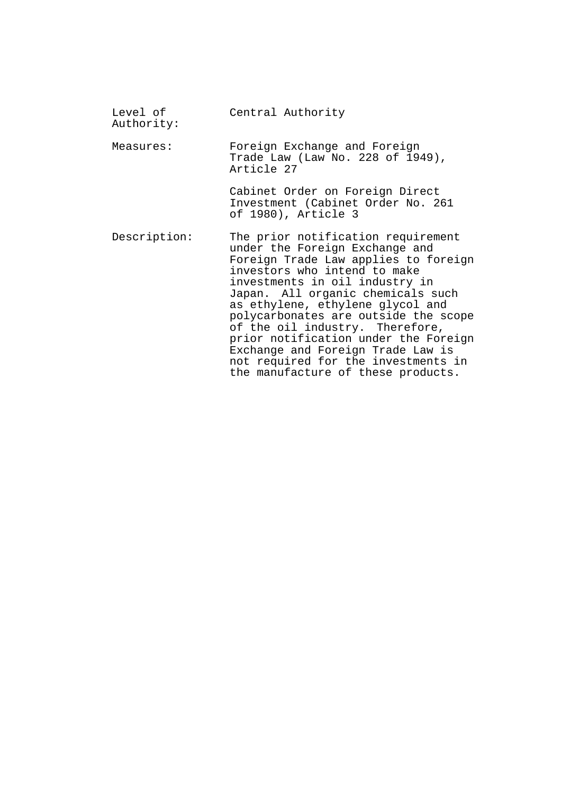| Level of<br>Authority: | Central Authority                                                                                                                                                                                                                                                                                                                                                                                                                                                                            |
|------------------------|----------------------------------------------------------------------------------------------------------------------------------------------------------------------------------------------------------------------------------------------------------------------------------------------------------------------------------------------------------------------------------------------------------------------------------------------------------------------------------------------|
| Measures:              | Foreign Exchange and Foreign<br>Trade Law (Law No. 228 of 1949),<br>Article 27                                                                                                                                                                                                                                                                                                                                                                                                               |
|                        | Cabinet Order on Foreign Direct<br>Investment (Cabinet Order No. 261<br>of 1980), Article 3                                                                                                                                                                                                                                                                                                                                                                                                  |
| Description:           | The prior notification requirement<br>under the Foreign Exchange and<br>Foreign Trade Law applies to foreign<br>investors who intend to make<br>investments in oil industry in<br>Japan. All organic chemicals such<br>as ethylene, ethylene glycol and<br>polycarbonates are outside the scope<br>of the oil industry. Therefore,<br>prior notification under the Foreign<br>Exchange and Foreign Trade Law is<br>not required for the investments in<br>the manufacture of these products. |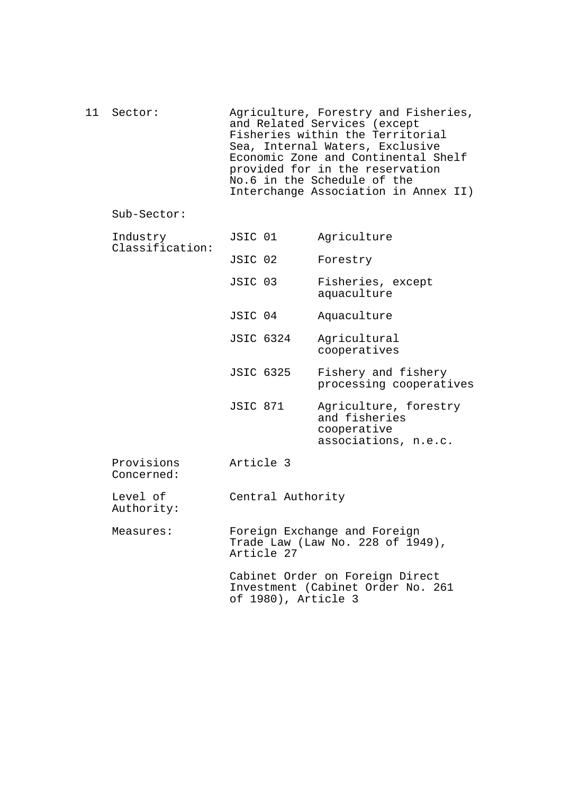| 11 Sector: | Agriculture, Forestry and Fisheries,<br>and Related Services (except<br>Fisheries within the Territorial<br>Sea, Internal Waters, Exclusive   |
|------------|-----------------------------------------------------------------------------------------------------------------------------------------------|
|            | Economic Zone and Continental Shelf<br>provided for in the reservation<br>No.6 in the Schedule of the<br>Interchange Association in Annex II) |

## Sub-Sector:

| Industry<br>Classification: | JSIC 01             | Agriculture                                                                   |  |
|-----------------------------|---------------------|-------------------------------------------------------------------------------|--|
|                             | JSIC 02             | Forestry                                                                      |  |
|                             | JSIC 03             | Fisheries, except<br>aquaculture                                              |  |
|                             | JSIC 04             | Aquaculture                                                                   |  |
|                             | <b>JSIC 6324</b>    | Agricultural<br>cooperatives                                                  |  |
|                             | <b>JSIC 6325</b>    | Fishery and fishery<br>processing cooperatives                                |  |
|                             | JSIC 871            | Agriculture, forestry<br>and fisheries<br>cooperative<br>associations, n.e.c. |  |
| Provisions<br>Concerned:    | Article 3           |                                                                               |  |
| Level of<br>Authority:      | Central Authority   |                                                                               |  |
| Measures:                   | Article 27          | Foreign Exchange and Foreign<br>Trade Law (Law No. 228 of 1949),              |  |
|                             | of 1980), Article 3 | Cabinet Order on Foreign Direct<br>Investment (Cabinet Order No. 261          |  |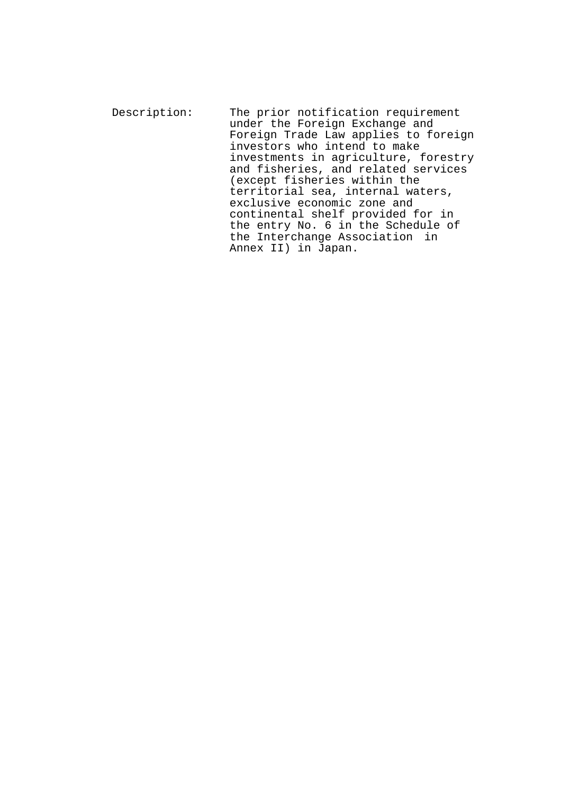Description: The prior notification requirement under the Foreign Exchange and Foreign Trade Law applies to foreign investors who intend to make investments in agriculture, forestry and fisheries, and related services (except fisheries within the territorial sea, internal waters, exclusive economic zone and continental shelf provided for in the entry No. 6 in the Schedule of the Interchange Association in Annex II) in Japan.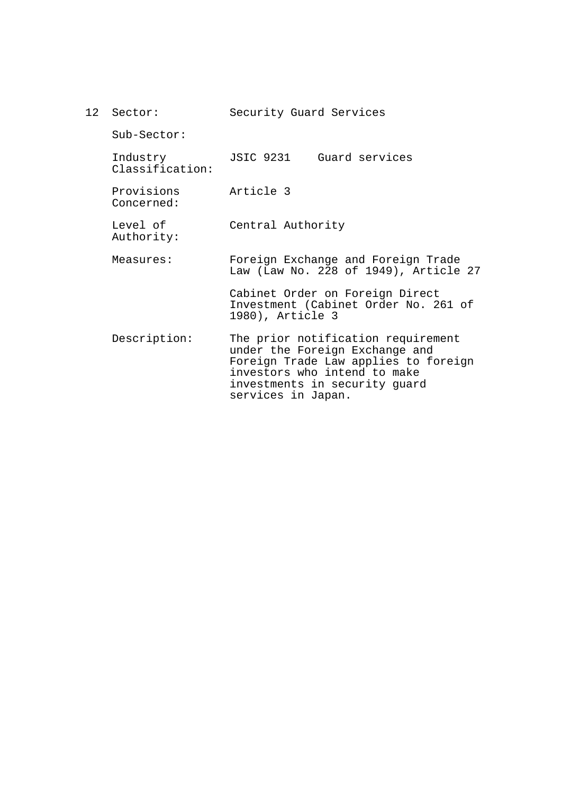| 12 Sector:                  | Security Guard Services                                                                                                                                                                             |  |  |  |
|-----------------------------|-----------------------------------------------------------------------------------------------------------------------------------------------------------------------------------------------------|--|--|--|
| $Sub-Section:$              |                                                                                                                                                                                                     |  |  |  |
| Industry<br>Classification: | JSIC 9231<br>Guard services                                                                                                                                                                         |  |  |  |
| Provisions<br>Concerned:    | Article 3                                                                                                                                                                                           |  |  |  |
| Level of<br>Authority:      | Central Authority                                                                                                                                                                                   |  |  |  |
| Measures:                   | Foreign Exchange and Foreign Trade<br>Law (Law No. 228 of 1949), Article 27                                                                                                                         |  |  |  |
|                             | Cabinet Order on Foreign Direct<br>Investment (Cabinet Order No. 261 of<br>1980), Article 3                                                                                                         |  |  |  |
| Description:                | The prior notification requirement<br>under the Foreign Exchange and<br>Foreign Trade Law applies to foreign<br>investors who intend to make<br>investments in security guard<br>services in Japan. |  |  |  |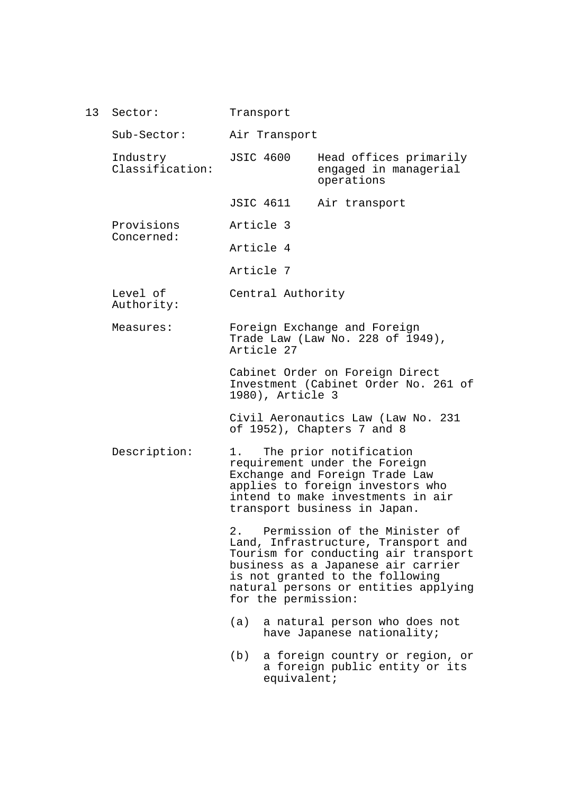| 13 | Sector:                     | Transport                                                                                   |                                                                                |                                                                                                                                                                                                                               |  |
|----|-----------------------------|---------------------------------------------------------------------------------------------|--------------------------------------------------------------------------------|-------------------------------------------------------------------------------------------------------------------------------------------------------------------------------------------------------------------------------|--|
|    | Sub-Sector:                 | Air Transport                                                                               |                                                                                |                                                                                                                                                                                                                               |  |
|    | Industry<br>Classification: |                                                                                             | <b>JSIC 4600</b>                                                               | Head offices primarily<br>engaged in managerial<br>operations                                                                                                                                                                 |  |
|    |                             |                                                                                             | JSIC 4611                                                                      | Air transport                                                                                                                                                                                                                 |  |
|    | Provisions                  |                                                                                             | Article 3                                                                      |                                                                                                                                                                                                                               |  |
|    | Concerned:                  |                                                                                             | Article 4                                                                      |                                                                                                                                                                                                                               |  |
|    |                             |                                                                                             | Article 7                                                                      |                                                                                                                                                                                                                               |  |
|    | Level of<br>Authority:      |                                                                                             | Central Authority                                                              |                                                                                                                                                                                                                               |  |
|    | Measures:                   |                                                                                             | Foreign Exchange and Foreign<br>Trade Law (Law No. 228 of 1949),<br>Article 27 |                                                                                                                                                                                                                               |  |
|    |                             | Cabinet Order on Foreign Direct<br>Investment (Cabinet Order No. 261 of<br>1980), Article 3 |                                                                                |                                                                                                                                                                                                                               |  |
|    |                             |                                                                                             |                                                                                | Civil Aeronautics Law (Law No. 231<br>of 1952), Chapters 7 and 8                                                                                                                                                              |  |
|    | Description:                |                                                                                             |                                                                                | The prior notification<br>requirement under the Foreign<br>Exchange and Foreign Trade Law<br>applies to foreign investors who<br>intend to make investments in air<br>transport business in Japan.                            |  |
|    |                             | 2.                                                                                          | for the permission:                                                            | Permission of the Minister of<br>Land, Infrastructure, Transport and<br>Tourism for conducting air transport<br>business as a Japanese air carrier<br>is not granted to the following<br>natural persons or entities applying |  |
|    |                             | (a)                                                                                         |                                                                                | a natural person who does not<br>have Japanese nationality;                                                                                                                                                                   |  |
|    |                             | (b)                                                                                         | equivalent;                                                                    | a foreign country or region, or<br>a foreign public entity or its                                                                                                                                                             |  |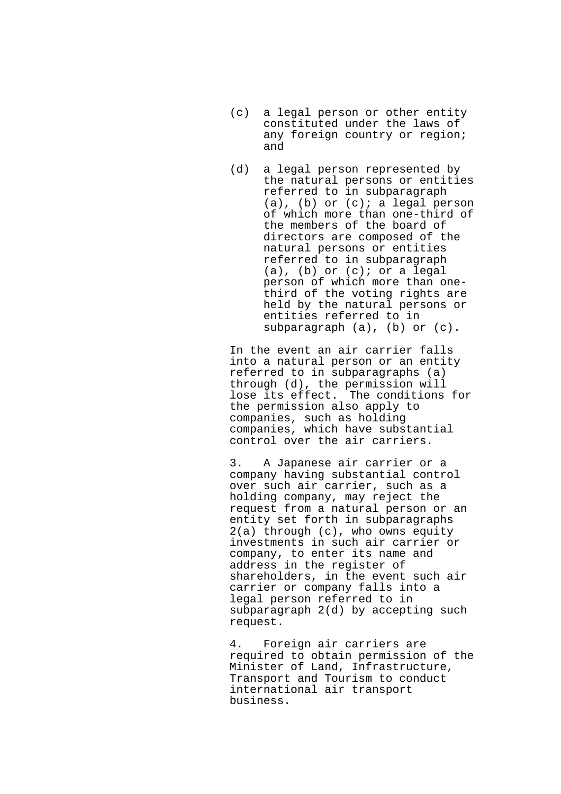- (c) a legal person or other entity constituted under the laws of any foreign country or region; and
- (d) a legal person represented by the natural persons or entities referred to in subparagraph  $(a)$ ,  $(b)$  or  $(c)$ ; a legal person of which more than one-third of the members of the board of directors are composed of the natural persons or entities referred to in subparagraph (a), (b) or (c); or a legal person of which more than onethird of the voting rights are held by the natural persons or entities referred to in subparagraph (a), (b) or (c).

In the event an air carrier falls into a natural person or an entity referred to in subparagraphs (a) through (d), the permission will lose its effect. The conditions for the permission also apply to companies, such as holding companies, which have substantial control over the air carriers.

3. A Japanese air carrier or a company having substantial control over such air carrier, such as a holding company, may reject the request from a natural person or an entity set forth in subparagraphs 2(a) through (c), who owns equity investments in such air carrier or company, to enter its name and address in the register of shareholders, in the event such air carrier or company falls into a legal person referred to in subparagraph 2(d) by accepting such request.

4. Foreign air carriers are required to obtain permission of the Minister of Land, Infrastructure, Transport and Tourism to conduct international air transport business.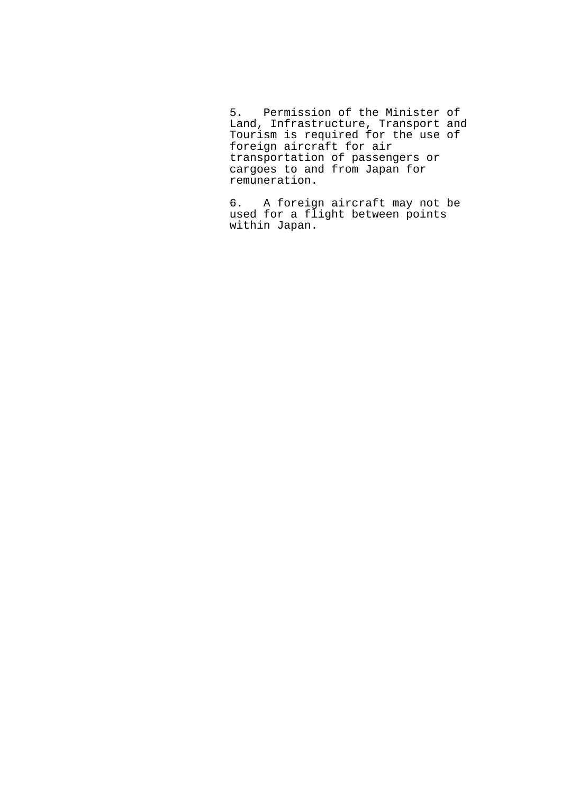5. Permission of the Minister of Land, Infrastructure, Transport and Tourism is required for the use of foreign aircraft for air transportation of passengers or cargoes to and from Japan for remuneration.

6. A foreign aircraft may not be used for a flight between points within Japan.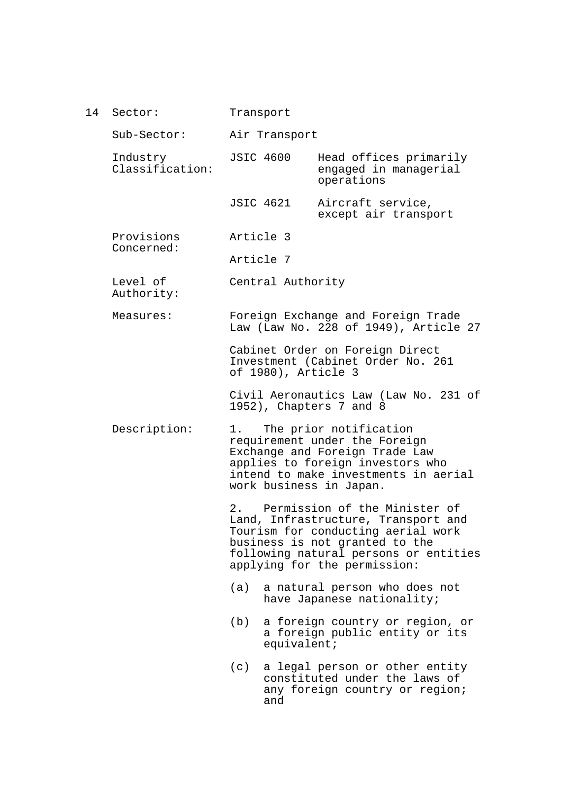| 14 | Sector:                     |     | Transport           |                                                                                                                                                                                                                          |
|----|-----------------------------|-----|---------------------|--------------------------------------------------------------------------------------------------------------------------------------------------------------------------------------------------------------------------|
|    | Sub-Sector:                 |     | Air Transport       |                                                                                                                                                                                                                          |
|    | Industry<br>Classification: |     | <b>JSIC 4600</b>    | Head offices primarily<br>engaged in managerial<br>operations                                                                                                                                                            |
|    |                             |     | JSIC 4621           | Aircraft service,<br>except air transport                                                                                                                                                                                |
|    | Provisions<br>Concerned:    |     | Article 3           |                                                                                                                                                                                                                          |
|    |                             |     | Article 7           |                                                                                                                                                                                                                          |
|    | Level of<br>Authority:      |     | Central Authority   |                                                                                                                                                                                                                          |
|    | Measures:                   |     |                     | Foreign Exchange and Foreign Trade<br>Law (Law No. 228 of 1949), Article 27                                                                                                                                              |
|    |                             |     | of 1980), Article 3 | Cabinet Order on Foreign Direct<br>Investment (Cabinet Order No. 261                                                                                                                                                     |
|    |                             |     |                     | Civil Aeronautics Law (Law No. 231 of<br>1952), Chapters 7 and 8                                                                                                                                                         |
|    | Description:                | 1.  |                     | The prior notification<br>requirement under the Foreign<br>Exchange and Foreign Trade Law<br>applies to foreign investors who<br>intend to make investments in aerial<br>work business in Japan.                         |
|    |                             |     |                     | 2. Permission of the Minister of<br>Land, Infrastructure, Transport and<br>Tourism for conducting aerial work<br>business is not granted to the<br>following natural persons or entities<br>applying for the permission: |
|    |                             | (a) |                     | a natural person who does not<br>have Japanese nationality;                                                                                                                                                              |
|    |                             | (b) | equivalent;         | a foreign country or region, or<br>a foreign public entity or its                                                                                                                                                        |
|    |                             | (c) | and                 | a legal person or other entity<br>constituted under the laws of<br>any foreign country or region;                                                                                                                        |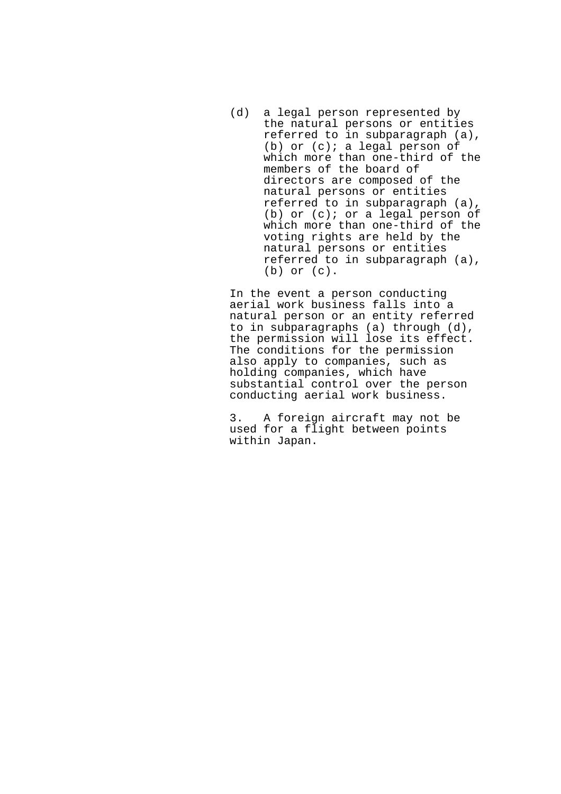(d) a legal person represented by the natural persons or entities referred to in subparagraph (a), (b) or (c); a legal person of which more than one-third of the members of the board of directors are composed of the natural persons or entities referred to in subparagraph (a), (b) or (c); or a legal person of which more than one-third of the voting rights are held by the natural persons or entities referred to in subparagraph (a), (b) or (c).

In the event a person conducting aerial work business falls into a natural person or an entity referred to in subparagraphs (a) through (d), the permission will lose its effect. The conditions for the permission also apply to companies, such as holding companies, which have substantial control over the person conducting aerial work business.

3. A foreign aircraft may not be used for a flight between points within Japan.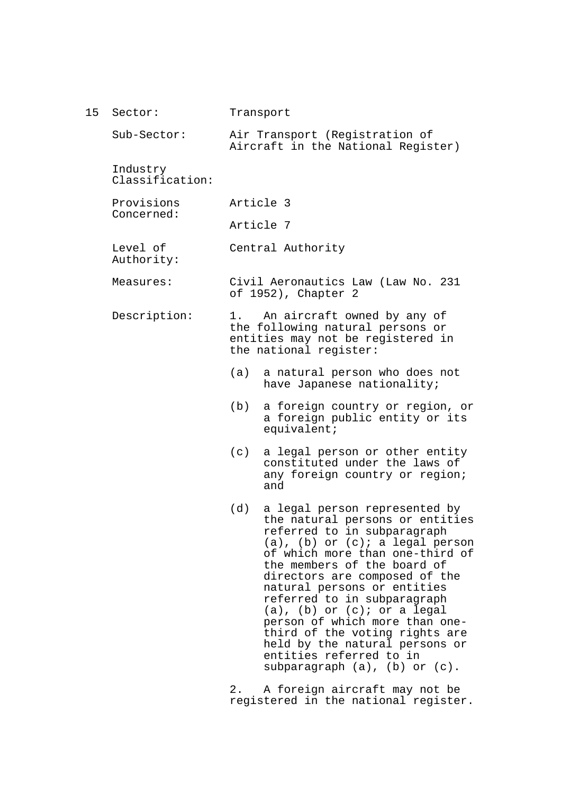15 Sector: Sub-Sector: Industry Classification: Provisions Concerned: Level of Authority: Measures: Description: Transport Air Transport (Registration of Aircraft in the National Register) Article 3 Article 7 Central Authority Civil Aeronautics Law (Law No. 231 of 1952), Chapter 2 1. An aircraft owned by any of the following natural persons or entities may not be registered in the national register: (a) a natural person who does not have Japanese nationality; (b) a foreign country or region, or a foreign public entity or its equivalent; (c) a legal person or other entity constituted under the laws of any foreign country or region; and (d) a legal person represented by the natural persons or entities referred to in subparagraph  $(a)$ ,  $(b)$  or  $(c)$ ; a legal person of which more than one-third of the members of the board of directors are composed of the natural persons or entities referred to in subparagraph  $(a)$ ,  $(b)$  or  $(c)$ ; or a legal person of which more than onethird of the voting rights are held by the natural persons or entities referred to in subparagraph (a), (b) or (c). 2. A foreign aircraft may not be

registered in the national register.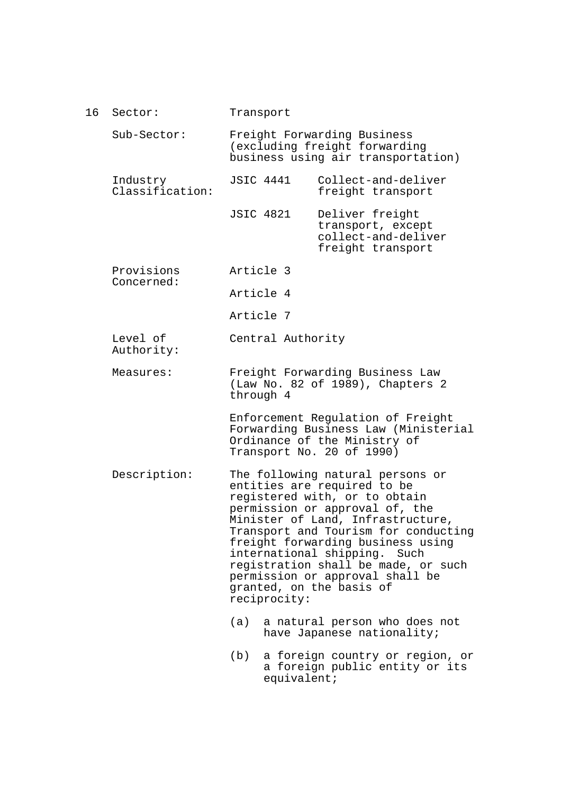16 Sector: Sub-Sector: Industry Classification: Provisions Concerned: Level of Authority: Measures: Description: Transport Freight Forwarding Business (excluding freight forwarding business using air transportation) JSIC 4441 Collect-and-deliver freight transport JSIC 4821 Deliver freight transport, except collect-and-deliver freight transport Article 3 Article 4 Article 7 Central Authority Freight Forwarding Business Law (Law No. 82 of 1989), Chapters 2 through 4 Enforcement Regulation of Freight Forwarding Business Law (Ministerial Ordinance of the Ministry of Transport No. 20 of 1990) The following natural persons or entities are required to be registered with, or to obtain permission or approval of, the Minister of Land, Infrastructure, Transport and Tourism for conducting freight forwarding business using international shipping. Such registration shall be made, or such permission or approval shall be granted, on the basis of reciprocity: (a) a natural person who does not have Japanese nationality; (b) a foreign country or region, or a foreign public entity or its equivalent;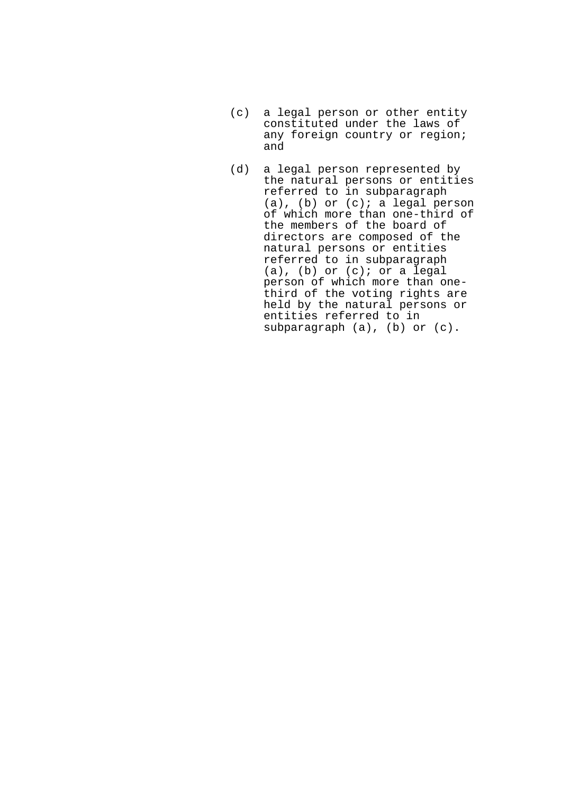- (c) a legal person or other entity constituted under the laws of any foreign country or region; and
- (d) a legal person represented by the natural persons or entities referred to in subparagraph  $(a)$ ,  $(b)$  or  $(c)$ ; a legal person of which more than one-third of the members of the board of directors are composed of the natural persons or entities referred to in subparagraph (a), (b) or (c); or a legal person of which more than onethird of the voting rights are held by the natural persons or entities referred to in subparagraph (a), (b) or (c).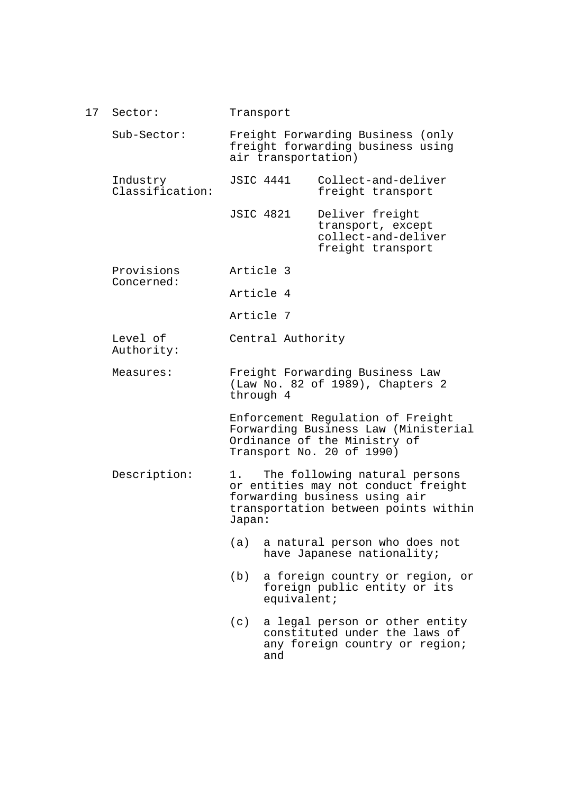17 Sector: Sub-Sector: Industry Classification: Provisions Concerned: Level of Authority: Measures: Description: Transport Freight Forwarding Business (only freight forwarding business using air transportation) JSIC 4441 Collect-and-deliver freight transport JSIC 4821 Deliver freight transport, except collect-and-deliver freight transport Article 3 Article 4 Article 7 Central Authority Freight Forwarding Business Law (Law No. 82 of 1989), Chapters 2 through 4 Enforcement Regulation of Freight Forwarding Business Law (Ministerial Ordinance of the Ministry of Transport No. 20 of 1990) 1. The following natural persons or entities may not conduct freight forwarding business using air transportation between points within Japan: (a) a natural person who does not have Japanese nationality; (b) a foreign country or region, or foreign public entity or its equivalent; (c) a legal person or other entity constituted under the laws of any foreign country or region; and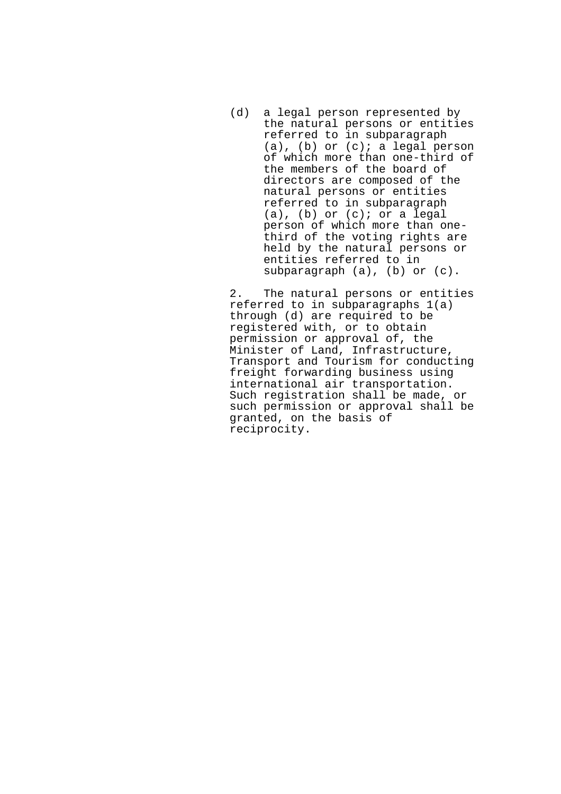(d) a legal person represented by the natural persons or entities referred to in subparagraph (a), (b) or (c); a legal person of which more than one-third of the members of the board of directors are composed of the natural persons or entities referred to in subparagraph  $(a)$ ,  $(b)$  or  $(c)$ ; or a legal person of which more than onethird of the voting rights are held by the natural persons or entities referred to in subparagraph (a), (b) or (c).

2. The natural persons or entities referred to in subparagraphs 1(a) through (d) are required to be registered with, or to obtain permission or approval of, the Minister of Land, Infrastructure, Transport and Tourism for conducting freight forwarding business using international air transportation. Such registration shall be made, or such permission or approval shall be granted, on the basis of reciprocity.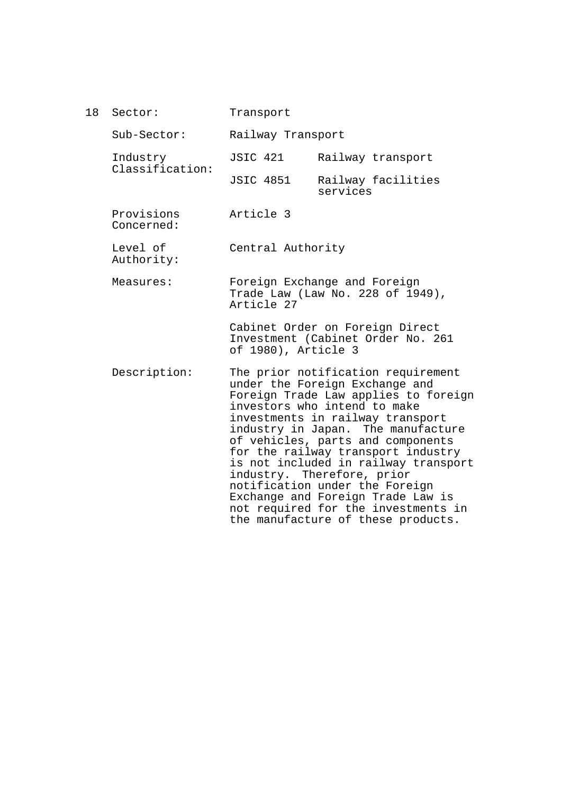| 18 | Sector:                     | Transport           |                                                                                                                                                                                                                                                                                                                                                                                                                                                                                                                             |
|----|-----------------------------|---------------------|-----------------------------------------------------------------------------------------------------------------------------------------------------------------------------------------------------------------------------------------------------------------------------------------------------------------------------------------------------------------------------------------------------------------------------------------------------------------------------------------------------------------------------|
|    | $Sub-Section:$              | Railway Transport   |                                                                                                                                                                                                                                                                                                                                                                                                                                                                                                                             |
|    | Industry<br>Classification: | <b>JSIC 421</b>     | Railway transport                                                                                                                                                                                                                                                                                                                                                                                                                                                                                                           |
|    |                             | <b>JSIC 4851</b>    | Railway facilities<br>services                                                                                                                                                                                                                                                                                                                                                                                                                                                                                              |
|    | Provisions<br>Concerned:    | Article 3           |                                                                                                                                                                                                                                                                                                                                                                                                                                                                                                                             |
|    | Level of<br>Authority:      | Central Authority   |                                                                                                                                                                                                                                                                                                                                                                                                                                                                                                                             |
|    | Measures:                   | Article 27          | Foreign Exchange and Foreign<br>Trade Law (Law No. 228 of 1949),                                                                                                                                                                                                                                                                                                                                                                                                                                                            |
|    |                             | of 1980), Article 3 | Cabinet Order on Foreign Direct<br>Investment (Cabinet Order No. 261                                                                                                                                                                                                                                                                                                                                                                                                                                                        |
|    | Description:                |                     | The prior notification requirement<br>under the Foreign Exchange and<br>Foreign Trade Law applies to foreign<br>investors who intend to make<br>investments in railway transport<br>industry in Japan. The manufacture<br>of vehicles, parts and components<br>for the railway transport industry<br>is not included in railway transport<br>industry. Therefore, prior<br>notification under the Foreign<br>Exchange and Foreign Trade Law is<br>not required for the investments in<br>the manufacture of these products. |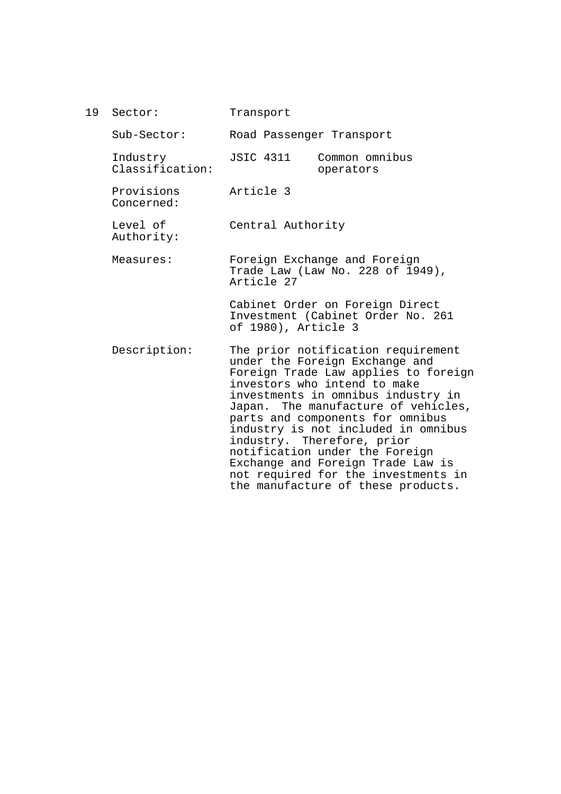19 Sector: Transport

| $Sub-Section:$              | Road Passenger Transport                                                                                                                                                                                                                                                                                                                                                                                                                                                               |
|-----------------------------|----------------------------------------------------------------------------------------------------------------------------------------------------------------------------------------------------------------------------------------------------------------------------------------------------------------------------------------------------------------------------------------------------------------------------------------------------------------------------------------|
| Industry<br>Classification: | JSIC 4311<br>Common omnibus<br>operators                                                                                                                                                                                                                                                                                                                                                                                                                                               |
| Provisions<br>Concerned:    | Article 3                                                                                                                                                                                                                                                                                                                                                                                                                                                                              |
| Level of<br>Authority:      | Central Authority                                                                                                                                                                                                                                                                                                                                                                                                                                                                      |
| Measures:                   | Foreign Exchange and Foreign<br>Trade Law (Law No. 228 of 1949),<br>Article 27                                                                                                                                                                                                                                                                                                                                                                                                         |
|                             | Cabinet Order on Foreign Direct<br>Investment (Cabinet Order No. 261<br>of 1980), Article 3                                                                                                                                                                                                                                                                                                                                                                                            |
| Description:                | The prior notification requirement<br>under the Foreign Exchange and<br>Foreign Trade Law applies to foreign<br>investors who intend to make<br>investments in omnibus industry in<br>Japan. The manufacture of vehicles,<br>parts and components for omnibus<br>industry is not included in omnibus<br>industry. Therefore, prior<br>notification under the Foreign<br>Exchange and Foreign Trade Law is<br>not required for the investments in<br>the manufacture of these products. |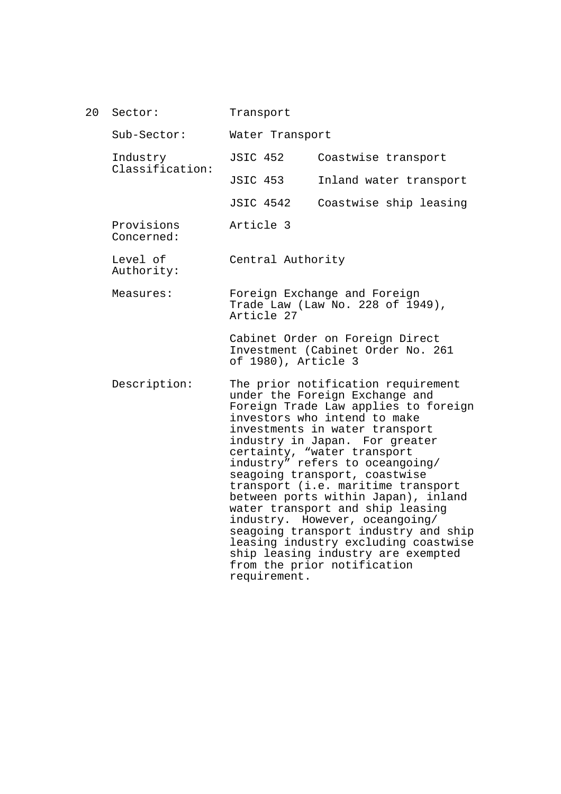20 Sector: Sub-Sector: Industry Classification: Provisions Concerned: Level of Authority: Measures: Description: Transport Water Transport JSIC 452 Coastwise transport JSIC 453 Inland water transport JSIC 4542 Coastwise ship leasing Article 3 Central Authority Foreign Exchange and Foreign Trade Law (Law No. 228 of 1949), Article 27 Cabinet Order on Foreign Direct Investment (Cabinet Order No. 261 of 1980), Article 3 The prior notification requirement under the Foreign Exchange and Foreign Trade Law applies to foreign investors who intend to make investments in water transport industry in Japan. For greater certainty, "water transport industry" refers to oceangoing/ seagoing transport, coastwise transport (i.e. maritime transport between ports within Japan), inland water transport and ship leasing industry. However, oceangoing/ seagoing transport industry and ship leasing industry excluding coastwise ship leasing industry are exempted from the prior notification requirement.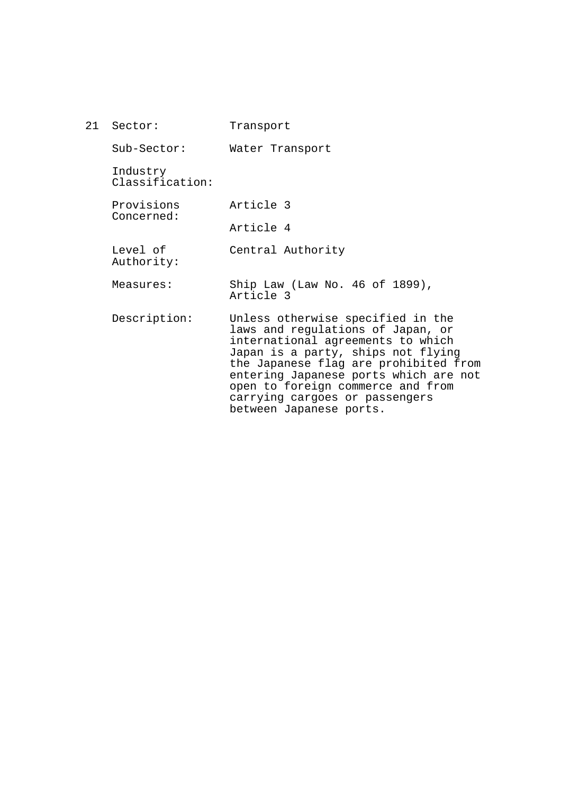21 Sector: Sub-Sector: Industry Classification: Provisions Concerned: Level of Authority: Measures: Description: Transport Water Transport Article 3 Article 4 Central Authority Ship Law (Law No. 46 of 1899), Article 3 Unless otherwise specified in the laws and regulations of Japan, or international agreements to which Japan is a party, ships not flying the Japanese flag are prohibited from entering Japanese ports which are not open to foreign commerce and from carrying cargoes or passengers between Japanese ports.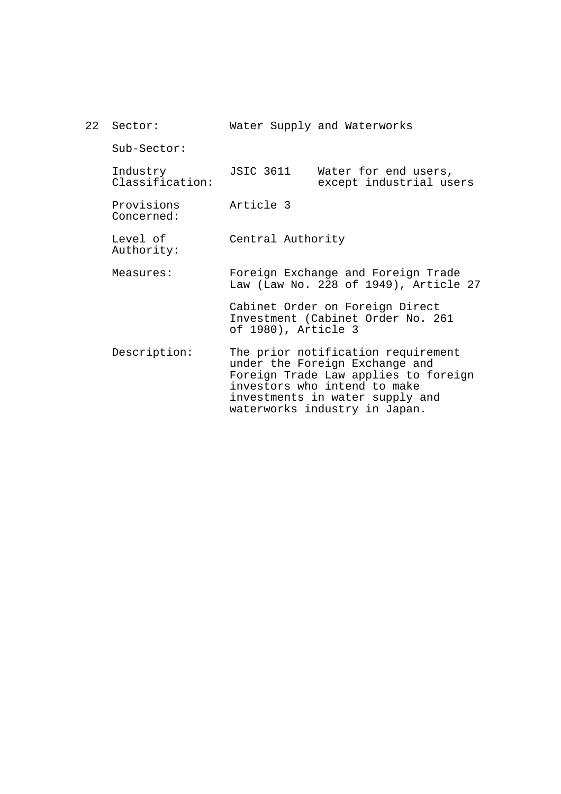| 22 Sector:                  |                     | Water Supply and Waterworks                                                                                                                                                                                      |
|-----------------------------|---------------------|------------------------------------------------------------------------------------------------------------------------------------------------------------------------------------------------------------------|
| $Sub-Section:$              |                     |                                                                                                                                                                                                                  |
| Industry<br>Classification: | JSIC 3611           | Water for end users,<br>except industrial users                                                                                                                                                                  |
| Provisions<br>Concerned:    | Article 3           |                                                                                                                                                                                                                  |
| Level of<br>Authority:      | Central Authority   |                                                                                                                                                                                                                  |
| Measures:                   |                     | Foreign Exchange and Foreign Trade<br>Law (Law No. 228 of 1949), Article 27                                                                                                                                      |
|                             | of 1980), Article 3 | Cabinet Order on Foreign Direct<br>Investment (Cabinet Order No. 261                                                                                                                                             |
| Description:                |                     | The prior notification requirement<br>under the Foreign Exchange and<br>Foreign Trade Law applies to foreign<br>investors who intend to make<br>investments in water supply and<br>waterworks industry in Japan. |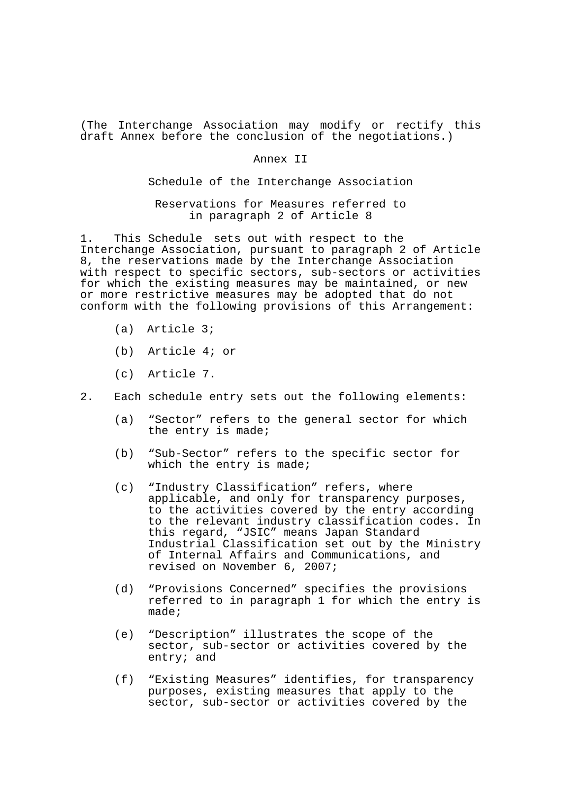(The Interchange Association may modify or rectify this draft Annex before the conclusion of the negotiations.)

## Annex II

Schedule of the Interchange Association

Reservations for Measures referred to in paragraph 2 of Article 8

1. This Schedule sets out with respect to the Interchange Association, pursuant to paragraph 2 of Article 8, the reservations made by the Interchange Association with respect to specific sectors, sub-sectors or activities for which the existing measures may be maintained, or new or more restrictive measures may be adopted that do not conform with the following provisions of this Arrangement:

- (a) Article 3;
- (b) Article 4; or
- (c) Article 7.
- 2. Each schedule entry sets out the following elements:
	- (a) "Sector" refers to the general sector for which the entry is made;
	- (b) "Sub-Sector" refers to the specific sector for which the entry is made;
	- (c) "Industry Classification" refers, where applicable, and only for transparency purposes, to the activities covered by the entry according to the relevant industry classification codes. In this regard, "JSIC" means Japan Standard Industrial Classification set out by the Ministry of Internal Affairs and Communications, and revised on November 6, 2007;
	- (d) "Provisions Concerned" specifies the provisions referred to in paragraph 1 for which the entry is made;
	- (e) "Description" illustrates the scope of the sector, sub-sector or activities covered by the entry; and
	- (f) "Existing Measures" identifies, for transparency purposes, existing measures that apply to the sector, sub-sector or activities covered by the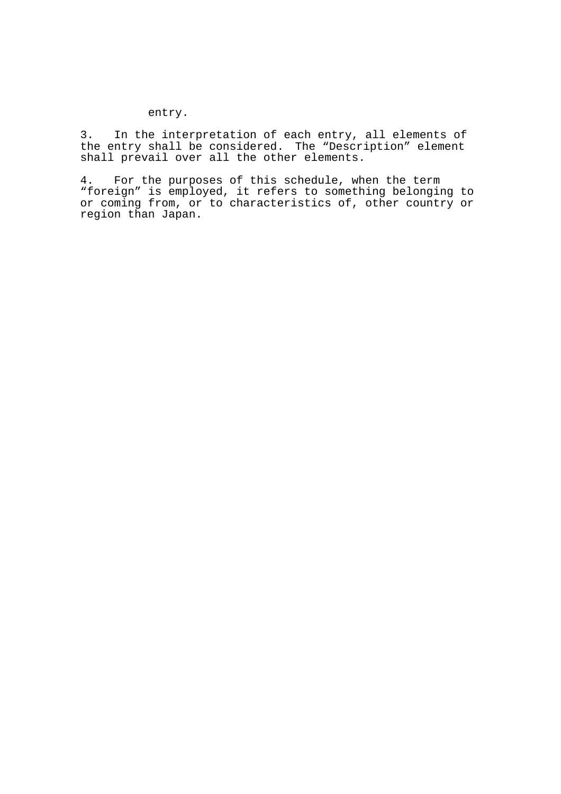## entry.

3. In the interpretation of each entry, all elements of the entry shall be considered. The "Description" element shall prevail over all the other elements.

4. For the purposes of this schedule, when the term "foreign" is employed, it refers to something belonging to or coming from, or to characteristics of, other country or region than Japan.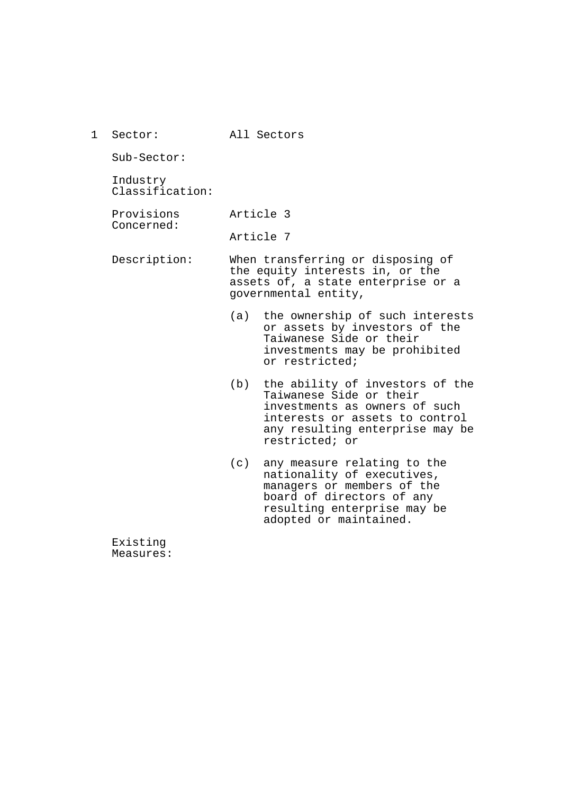1 Sector: All Sectors

Sub-Sector:

Industry Classification:

Provisions Concerned: Article 3

Article 7

Description: When transferring or disposing of the equity interests in, or the assets of, a state enterprise or a governmental entity,

- (a) the ownership of such interests or assets by investors of the Taiwanese Side or their investments may be prohibited or restricted;
- (b) the ability of investors of the Taiwanese Side or their investments as owners of such interests or assets to control any resulting enterprise may be restricted; or
- (c) any measure relating to the nationality of executives, managers or members of the board of directors of any resulting enterprise may be adopted or maintained.

Existing Measures: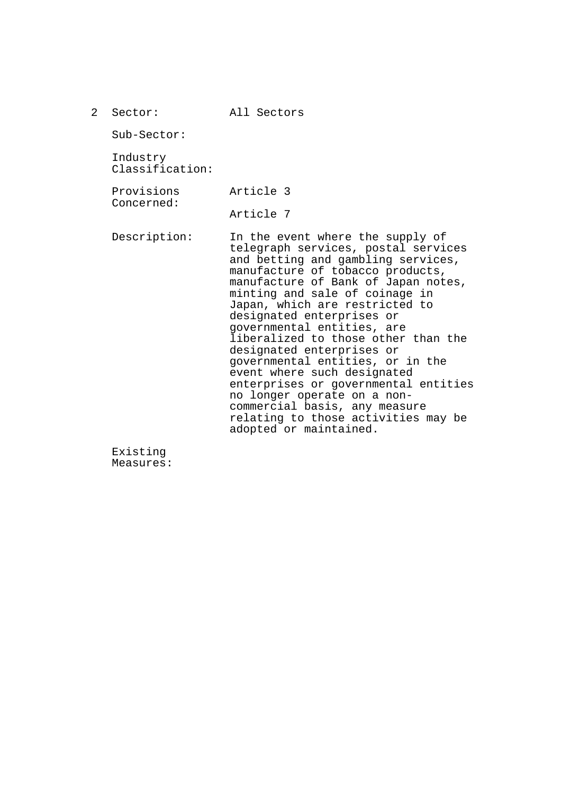| $\mathcal{L}$ | Sector:                     | All Sectors                                                                                                                                                                                                                                                                                                                                                                                                                                                                                                                                                                                                                             |
|---------------|-----------------------------|-----------------------------------------------------------------------------------------------------------------------------------------------------------------------------------------------------------------------------------------------------------------------------------------------------------------------------------------------------------------------------------------------------------------------------------------------------------------------------------------------------------------------------------------------------------------------------------------------------------------------------------------|
|               | $Sub-Section:$              |                                                                                                                                                                                                                                                                                                                                                                                                                                                                                                                                                                                                                                         |
|               | Industry<br>Classification: |                                                                                                                                                                                                                                                                                                                                                                                                                                                                                                                                                                                                                                         |
|               | Provisions<br>Concerned:    | Article 3                                                                                                                                                                                                                                                                                                                                                                                                                                                                                                                                                                                                                               |
|               |                             | Article 7                                                                                                                                                                                                                                                                                                                                                                                                                                                                                                                                                                                                                               |
|               | Description:                | In the event where the supply of<br>telegraph services, postal services<br>and betting and gambling services,<br>manufacture of tobacco products,<br>manufacture of Bank of Japan notes,<br>minting and sale of coinage in<br>Japan, which are restricted to<br>designated enterprises or<br>governmental entities, are<br>liberalized to those other than the<br>designated enterprises or<br>governmental entities, or in the<br>event where such designated<br>enterprises or governmental entities<br>no longer operate on a non-<br>commercial basis, any measure<br>relating to those activities may be<br>adopted or maintained. |

Existing Measures: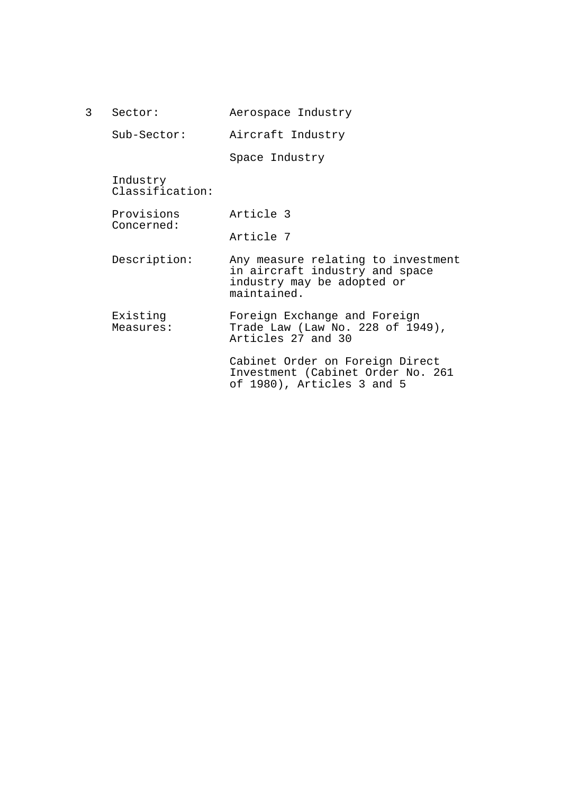| 3 | Sector:                     | Aerospace Industry                                                                                                |
|---|-----------------------------|-------------------------------------------------------------------------------------------------------------------|
|   | Sub-Sector:                 | Aircraft Industry                                                                                                 |
|   |                             | Space Industry                                                                                                    |
|   | Industry<br>Classification: |                                                                                                                   |
|   | Provisions                  | Article 3                                                                                                         |
|   | Concerned:                  | Article 7                                                                                                         |
|   | Description:                | Any measure relating to investment<br>in aircraft industry and space<br>industry may be adopted or<br>maintained. |
|   | Existing<br>Measures:       | Foreign Exchange and Foreign<br>Trade Law (Law No. 228 of 1949),<br>Articles 27 and 30                            |
|   |                             | Cabinet Order on Foreign Direct<br>Investment (Cabinet Order No. 261<br>of 1980), Articles 3 and 5                |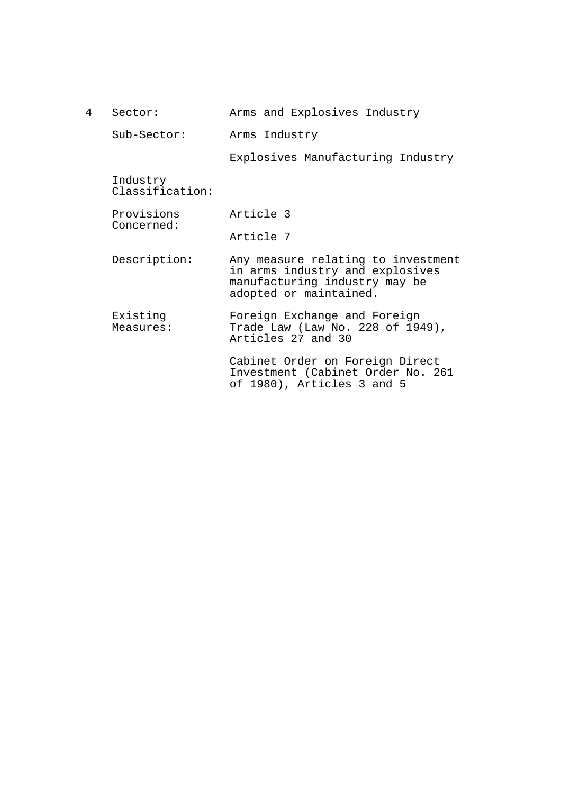| 4 | Sector:                     | Arms and Explosives Industry                                                                                                     |
|---|-----------------------------|----------------------------------------------------------------------------------------------------------------------------------|
|   | Sub-Sector:                 | Arms Industry                                                                                                                    |
|   |                             | Explosives Manufacturing Industry                                                                                                |
|   | Industry<br>Classification: |                                                                                                                                  |
|   | Provisions                  | Article 3                                                                                                                        |
|   | Concerned:                  | Article 7                                                                                                                        |
|   | Description:                | Any measure relating to investment<br>in arms industry and explosives<br>manufacturing industry may be<br>adopted or maintained. |
|   | Existing<br>Measures:       | Foreign Exchange and Foreign<br>Trade Law (Law No. 228 of 1949),<br>Articles 27 and 30                                           |
|   |                             | Cabinet Order on Foreign Direct<br>Investment (Cabinet Order No. 261<br>of 1980), Articles 3 and 5                               |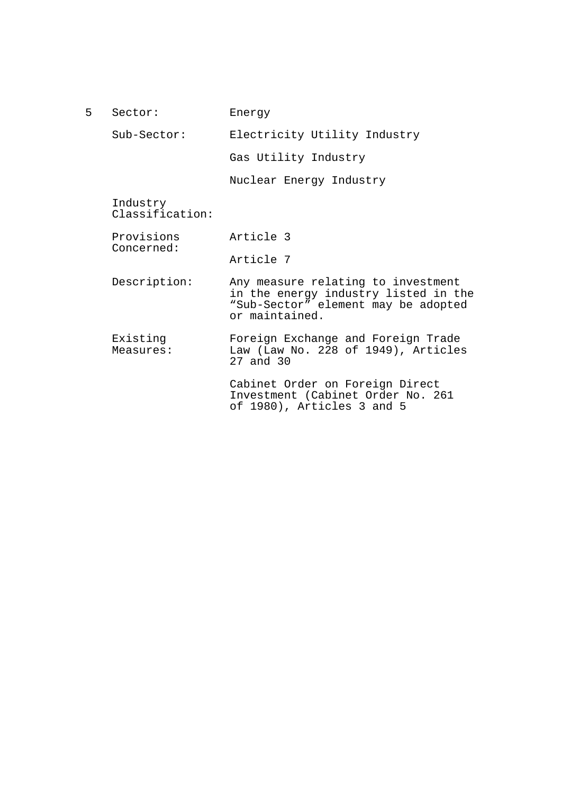| 5          | Sector:                     | Energy                                                                                                                              |
|------------|-----------------------------|-------------------------------------------------------------------------------------------------------------------------------------|
|            | $Sub-Section:$              | Electricity Utility Industry                                                                                                        |
|            |                             | Gas Utility Industry                                                                                                                |
|            |                             | Nuclear Energy Industry                                                                                                             |
|            | Industry<br>Classification: |                                                                                                                                     |
|            | Provisions                  | Article 3                                                                                                                           |
| Concerned: | Article 7                   |                                                                                                                                     |
|            | Description:                | Any measure relating to investment<br>in the energy industry listed in the<br>"Sub-Sector" element may be adopted<br>or maintained. |
|            | Existing<br>Measures:       | Foreign Exchange and Foreign Trade<br>Law (Law No. 228 of 1949), Articles<br>$27$ and $30$                                          |
|            |                             | Cabinet Order on Foreign Direct<br>Investment (Cabinet Order No. 261<br>of 1980), Articles 3 and 5                                  |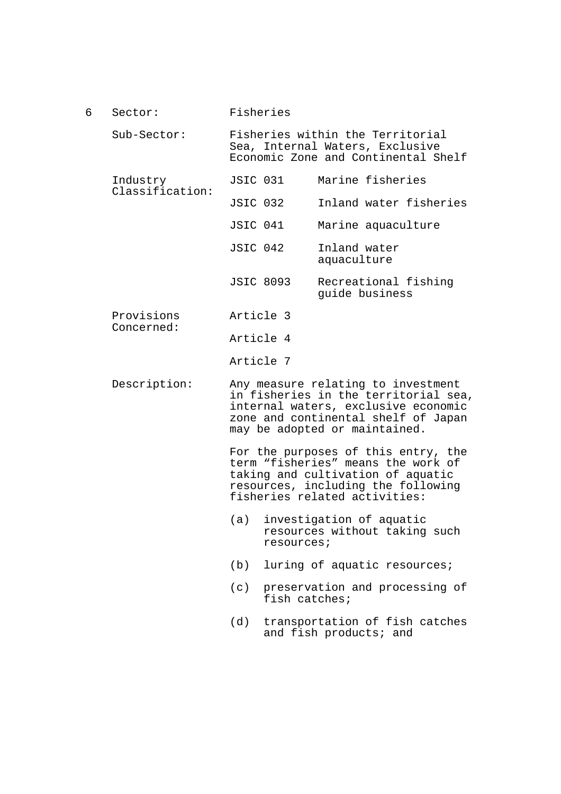- 6 Sector: Sub-Sector: Industry Classification: Provisions Concerned: Description: Fisheries Fisheries within the Territorial Sea, Internal Waters, Exclusive Economic Zone and Continental Shelf JSIC 031 Marine fisheries JSIC 032 Inland water fisheries JSIC 041 Marine aquaculture JSIC 042 Inland water aquaculture JSIC 8093 Recreational fishing guide business Article 3 Article 4 Article 7 Any measure relating to investment in fisheries in the territorial sea, internal waters, exclusive economic zone and continental shelf of Japan may be adopted or maintained. For the purposes of this entry, the term "fisheries" means the work of taking and cultivation of aquatic resources, including the following fisheries related activities: (a) investigation of aquatic resources without taking such resources; (b) luring of aquatic resources;
	- (c) preservation and processing of fish catches;
	- (d) transportation of fish catches and fish products; and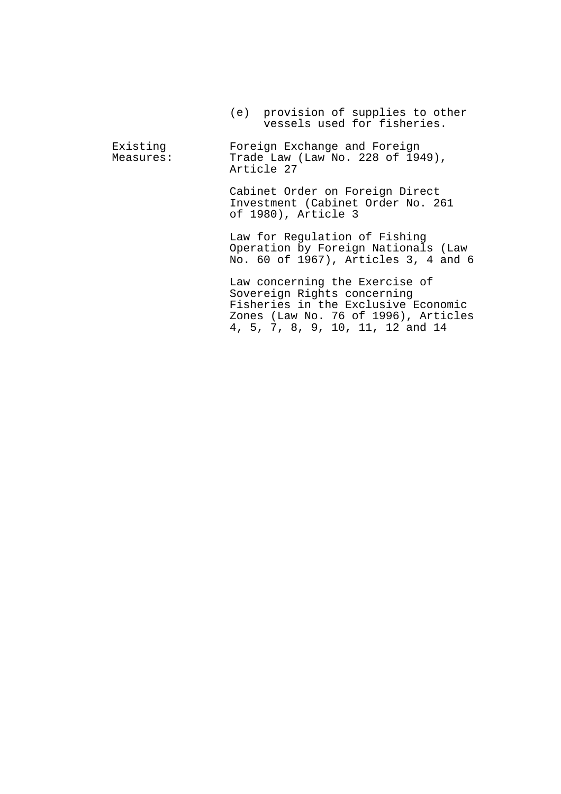(e) provision of supplies to other vessels used for fisheries.

Existing Measures: Foreign Exchange and Foreign Trade Law (Law No. 228 of 1949), Article 27

> Cabinet Order on Foreign Direct Investment (Cabinet Order No. 261 of 1980), Article 3

Law for Regulation of Fishing Operation by Foreign Nationals (Law No. 60 of 1967), Articles 3, 4 and 6

Law concerning the Exercise of Sovereign Rights concerning Fisheries in the Exclusive Economic Zones (Law No. 76 of 1996), Articles 4, 5, 7, 8, 9, 10, 11, 12 and 14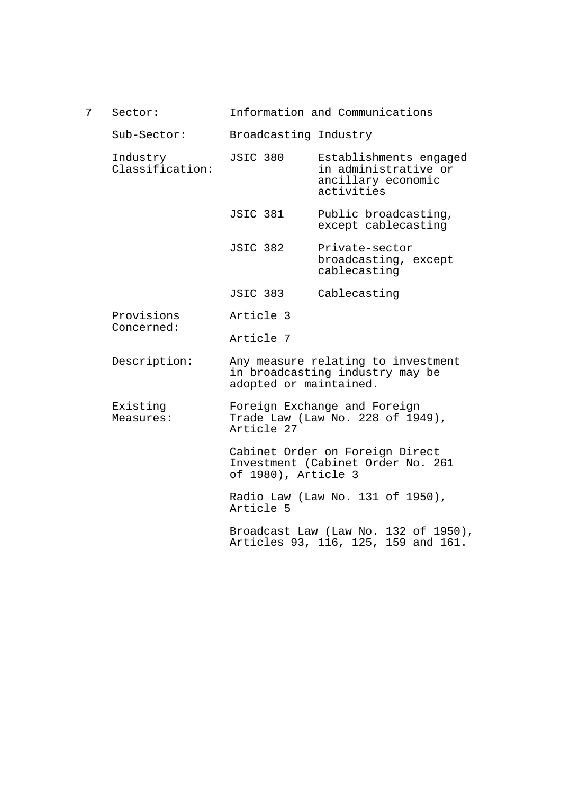| Information and Communications<br>Sector: |  |
|-------------------------------------------|--|
|-------------------------------------------|--|

Sub-Sector: Broadcasting Industry

- Industry Classification: JSIC 380 Establishments engaged in administrative or ancillary economic activities
	- JSIC 381 Public broadcasting, except cablecasting
	- JSIC 382 Private-sector broadcasting, except cablecasting
	- JSIC 383 Cablecasting
- Provisions Concerned: Article 3
	- Article 7
- Description: Any measure relating to investment in broadcasting industry may be adopted or maintained.
- Existing Measures: Foreign Exchange and Foreign Trade Law (Law No. 228 of 1949), Article 27

Cabinet Order on Foreign Direct Investment (Cabinet Order No. 261 of 1980), Article 3

Radio Law (Law No. 131 of 1950), Article 5

Broadcast Law (Law No. 132 of 1950), Articles 93, 116, 125, 159 and 161.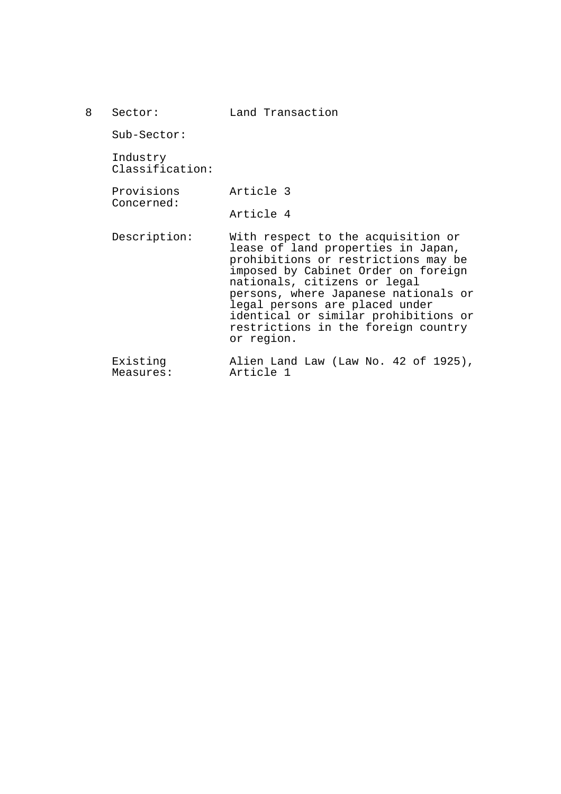| Sector:                     | Land Transaction                                                                                                                                                                                                                                                                                                                                              |
|-----------------------------|---------------------------------------------------------------------------------------------------------------------------------------------------------------------------------------------------------------------------------------------------------------------------------------------------------------------------------------------------------------|
| $Sub-Section:$              |                                                                                                                                                                                                                                                                                                                                                               |
| Industry<br>Classification: |                                                                                                                                                                                                                                                                                                                                                               |
| Provisions<br>Concerned:    | Article 3                                                                                                                                                                                                                                                                                                                                                     |
|                             | Article 4                                                                                                                                                                                                                                                                                                                                                     |
| Description:                | With respect to the acquisition or<br>lease of land properties in Japan,<br>prohibitions or restrictions may be<br>imposed by Cabinet Order on foreign<br>nationals, citizens or legal<br>persons, where Japanese nationals or<br>legal persons are placed under<br>identical or similar prohibitions or<br>restrictions in the foreign country<br>or region. |
| Existing                    | Alien Land Law (Law No. 42 of 1925),                                                                                                                                                                                                                                                                                                                          |

Measures: Article 1

8 Sector: